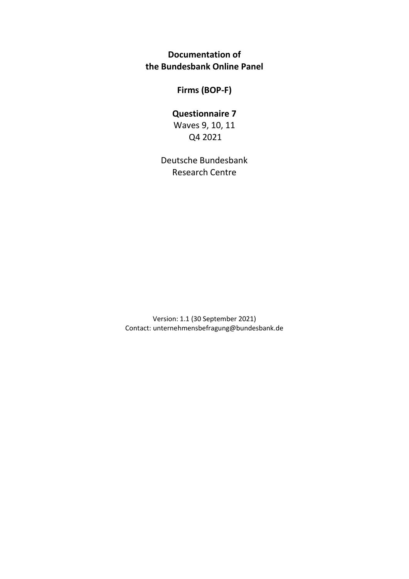**Documentation of the Bundesbank Online Panel**

**Firms (BOP-F)**

# **Questionnaire 7**

Waves 9, 10, 11 Q4 2021

Deutsche Bundesbank Research Centre

Version: 1.1 (30 September 2021) Contact: unternehmensbefragung@bundesbank.de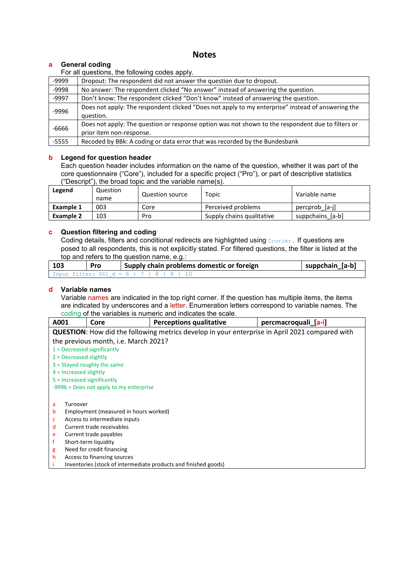# **Notes**

# **a General coding**

For all questions, the following codes apply.

| -9999   | Dropout: The respondent did not answer the question due to dropout.                               |
|---------|---------------------------------------------------------------------------------------------------|
| -9998   | No answer: The respondent clicked "No answer" instead of answering the question.                  |
| $-9997$ | Don't know: The respondent clicked "Don't know" instead of answering the question.                |
| -9996   | Does not apply: The respondent clicked "Does not apply to my enterprise" instead of answering the |
|         | question.                                                                                         |
| $-6666$ | Does not apply: The question or response option was not shown to the respondent due to filters or |
|         | prior item non-response.                                                                          |
| $-5555$ | Recoded by BBk: A coding or data error that was recorded by the Bundesbank                        |

#### **b Legend for question header**

Each question header includes information on the name of the question, whether it was part of the core questionnaire ("Core"), included for a specific project ("Pro"), or part of descriptive statistics ("Descript"), the broad topic and the variable name(s).

| Legend    | Question<br>name | Question source | Topic                     | Variable name    |
|-----------|------------------|-----------------|---------------------------|------------------|
| Example 1 | 003              | Core            | Perceived problems        | percprob [a-i]   |
| Example 2 | 103              | Pro             | Supply chains qualitative | suppchains_[a-b] |

# **c Question filtering and coding**

Coding details, filters and conditional redirects are highlighted using Courier**.** If questions are posed to all respondents, this is not explicitly stated. For filtered questions, the filter is listed at the top and refers to the question name, e.g.:

| 103 | Pro | Supply chain problems domestic or foreign | suppchain [a-b] |
|-----|-----|-------------------------------------------|-----------------|
|     |     | Input filter: 001 d = 6   7   8   9   10  |                 |

#### **d Variable names**

Variable names are indicated in the top right corner. If the question has multiple items, the items are indicated by underscores and a letter. Enumeration letters correspond to variable names. The coding of the variables is numeric and indicates the scale.

| A001                          | Core                                                                                                  | <b>Perceptions qualitative</b>                                  | percmacroquali [a-i] |  |  |  |  |
|-------------------------------|-------------------------------------------------------------------------------------------------------|-----------------------------------------------------------------|----------------------|--|--|--|--|
|                               | <b>QUESTION:</b> How did the following metrics develop in your enterprise in April 2021 compared with |                                                                 |                      |  |  |  |  |
|                               | the previous month, i.e. March 2021?                                                                  |                                                                 |                      |  |  |  |  |
|                               | $1 =$ Decreased significantly                                                                         |                                                                 |                      |  |  |  |  |
| $2$ = Decreased slightly      |                                                                                                       |                                                                 |                      |  |  |  |  |
|                               | $3 =$ Stayed roughly the same                                                                         |                                                                 |                      |  |  |  |  |
| $4$ = Increased slightly      |                                                                                                       |                                                                 |                      |  |  |  |  |
| $5 =$ Increased significantly |                                                                                                       |                                                                 |                      |  |  |  |  |
|                               | $-9996$ = Does not apply to my enterprise                                                             |                                                                 |                      |  |  |  |  |
|                               |                                                                                                       |                                                                 |                      |  |  |  |  |
| Turnover<br>a                 |                                                                                                       |                                                                 |                      |  |  |  |  |
| b                             | Employment (measured in hours worked)                                                                 |                                                                 |                      |  |  |  |  |
| С                             | Access to intermediate inputs                                                                         |                                                                 |                      |  |  |  |  |
| d                             | Current trade receivables                                                                             |                                                                 |                      |  |  |  |  |
| e                             | Current trade payables                                                                                |                                                                 |                      |  |  |  |  |
|                               | Short-term liquidity                                                                                  |                                                                 |                      |  |  |  |  |
| g                             | Need for credit financing                                                                             |                                                                 |                      |  |  |  |  |
| h                             | Access to financing sources                                                                           |                                                                 |                      |  |  |  |  |
|                               |                                                                                                       | Inventories (stock of intermediate products and finished goods) |                      |  |  |  |  |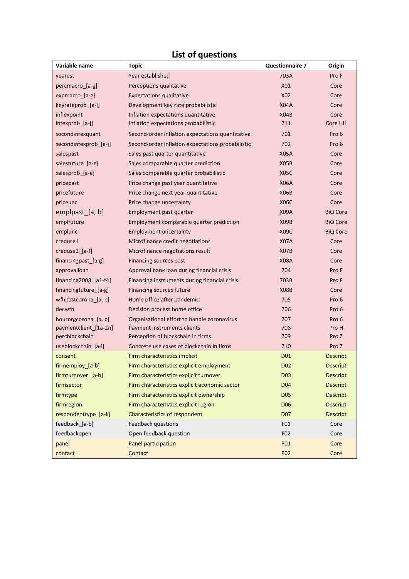# **List of questions**

| Variable name               | <b>Topic</b>                                      | <b>Questionnaire 7</b> | Origin          |
|-----------------------------|---------------------------------------------------|------------------------|-----------------|
| yearest                     | Year established                                  | 703A                   | Pro F           |
| percmacro_[a-g]             | Perceptions qualitative                           | X01                    | Core            |
| expmacro_[a-g]              | <b>Expectations qualitative</b>                   | X02                    | Core            |
| keyrateprob_[a-j]           | Development key rate probabilistic                | <b>X04A</b>            | Core            |
| inflexpoint                 | Inflation expectations quantitative               | X04B                   | Core            |
| infexprob_[a-j]             | Inflation expectations probabilistic              | 711                    | Core HH         |
| secondinfexquant            | Second-order inflation expectations quantitative  | 701                    | Pro 6           |
| secondinfexprob [a-j]       | Second-order inflation expectations probabilistic | 702                    | Pro 6           |
| salespast                   | Sales past quarter quantitative                   | <b>X05A</b>            | Core            |
| salesfuture_[a-e]           | Sales comparable quarter prediction               | X <sub>05</sub> B      | Core            |
| salesprob_[a-e]             | Sales comparable quarter probabilistic            | <b>X05C</b>            | Core            |
| pricepast                   | Price change past year quantitative               | <b>X06A</b>            | Core            |
| pricefuture                 | Price change next year quantitative               | X <sub>06</sub> B      | Core            |
| priceunc                    | Price change uncertainty                          | <b>X06C</b>            | Core            |
| emplpast [a, b]             | Employment past quarter                           | <b>X09A</b>            | <b>BiQ Core</b> |
| emplfuture                  | Employment comparable quarter prediction          | X <sub>09</sub> B      | <b>BiQ Core</b> |
| emplunc                     | <b>Employment uncertainty</b>                     | <b>X09C</b>            | <b>BiQ Core</b> |
| creduse1                    | Microfinance credit negotiations                  | <b>X07A</b>            | Core            |
| creduse2 [a-f]              | Microfinance negotiations result                  | X <sub>0</sub> 7B      | Core            |
| financingpast_[a-g]         | Financing sources past                            | <b>X08A</b>            | Core            |
| approvalloan                | Approval bank loan during financial crisis        | 704                    | Pro F           |
| $financing2008_{a}$ [a1-f4] | Financing instruments during financial crisis     | 703B                   | Pro F           |
| financingfuture_[a-g]       | Financing sources future                          | <b>X08B</b>            | Core            |
| wfhpastcorona [a, b]        | Home office after pandemic                        | 705                    | Pro 6           |
| decwfh                      | Decision process home office                      | 706                    | Pro 6           |
| hourorgcorona_[a, b]        | Organisational effort to handle coronavirus       | 707                    | Pro 6           |
| paymentclient_[1a-2n]       | Payment instruments clients                       | 708                    | Pro H           |
| percblockchain              | Perception of blockchain in firms                 | 709                    | Pro Z           |
| useblockchain [a-i]         | Concrete use cases of blockchain in firms         | 710                    | Pro Z           |
| consent                     | Firm characteristics implicit                     | D <sub>01</sub>        | <b>Descript</b> |
| firmemploy_[a-b]            | Firm characteristics explicit employment          | D <sub>02</sub>        | <b>Descript</b> |
| firmturnover [a-b]          | Firm characteristics explicit turnover            | D <sub>03</sub>        | <b>Descript</b> |
| firmsector                  | Firm characteristics explicit economic sector     | D <sub>04</sub>        | <b>Descript</b> |
| firmtype                    | Firm characteristics explicit ownership           | <b>D05</b>             | <b>Descript</b> |
| firmregion                  | Firm characteristics explicit region              | <b>D06</b>             | <b>Descript</b> |
| respondenttype_[a-k]        | <b>Characteristics of respondent</b>              | <b>D07</b>             | <b>Descript</b> |
| feedback_[a-b]              | Feedback questions                                | F <sub>01</sub>        | Core            |
| feedbackopen                | Open feedback question                            | F <sub>02</sub>        | Core            |
| panel                       | Panel participation                               | <b>PO1</b>             | Core            |
| contact                     | Contact                                           | <b>PO2</b>             | Core            |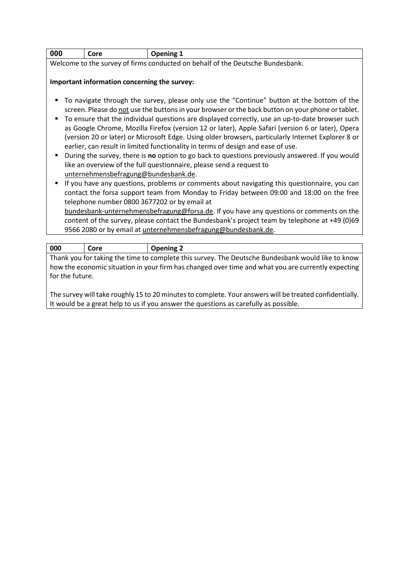| 000   | `ore | _                  |
|-------|------|--------------------|
| _____ | - -  | $\sim$ $\sim$<br>- |

Welcome to the survey of firms conducted on behalf of the Deutsche Bundesbank.

### **Important information concerning the survey:**

- To navigate through the survey, please only use the "Continue" button at the bottom of the screen. Please do not use the buttons in your browser or the back button on your phone or tablet.
- To ensure that the individual questions are displayed correctly, use an up-to-date browser such as Google Chrome, Mozilla Firefox (version 12 or later), Apple Safari (version 6 or later), Opera (version 20 or later) or Microsoft Edge. Using older browsers, particularly Internet Explorer 8 or earlier, can result in limited functionality in terms of design and ease of use.
- During the survey, there is **no** option to go back to questions previously answered. If you would like an overview of the full questionnaire, please send a request to unternehmensbefragung@bundesbank.de.
- If you have any questions, problems or comments about navigating this questionnaire, you can contact the forsa support team from Monday to Friday between 09:00 and 18:00 on the free telephone number 0800 3677202 or by email at bundesbank-unternehmensbefragung@forsa.de. If you have any questions or comments on the content of the survey, please contact the Bundesbank's project team by telephone at +49 (0)69 9566 2080 or by email at unternehmensbefragung@bundesbank.de.

| 000             | Core                                                                                               | <b>Opening 2</b>                                                                                  |  |  |  |
|-----------------|----------------------------------------------------------------------------------------------------|---------------------------------------------------------------------------------------------------|--|--|--|
|                 |                                                                                                    | Thank you for taking the time to complete this survey. The Deutsche Bundesbank would like to know |  |  |  |
|                 | how the economic situation in your firm has changed over time and what you are currently expecting |                                                                                                   |  |  |  |
| for the future. |                                                                                                    |                                                                                                   |  |  |  |
|                 |                                                                                                    |                                                                                                   |  |  |  |

The survey will take roughly 15 to 20 minutes to complete. Your answers will be treated confidentially. It would be a great help to us if you answer the questions as carefully as possible.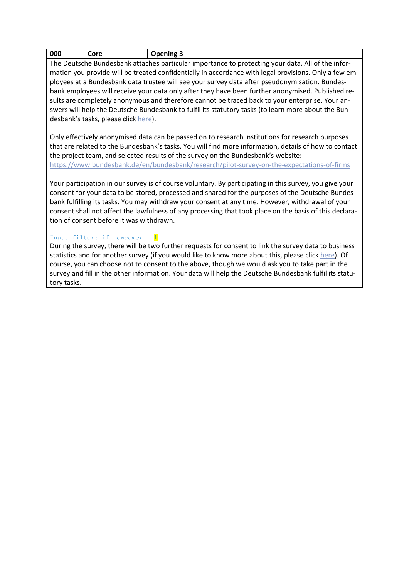| 000 | Core | ening<br>. |
|-----|------|------------|
|     |      |            |

The Deutsche Bundesbank attaches particular importance to protecting your data. All of the information you provide will be treated confidentially in accordance with legal provisions. Only a few employees at a Bundesbank data trustee will see your survey data after pseudonymisation. Bundesbank employees will receive your data only after they have been further anonymised. Published results are completely anonymous and therefore cannot be traced back to your enterprise. Your answers will help the Deutsche Bundesbank to fulfil its statutory tasks (to learn more about the Bundesbank's tasks, please clic[k here\)](https://www.bundesbank.de/en/tasks/central-bank-of-the-federal-republic-of-germany-626946).

Only effectively anonymised data can be passed on to research institutions for research purposes that are related to the Bundesbank's tasks. You will find more information, details of how to contact the project team, and selected results of the survey on the Bundesbank's website: <https://www.bundesbank.de/en/bundesbank/research/pilot-survey-on-the-expectations-of-firms>

Your participation in our survey is of course voluntary. By participating in this survey, you give your consent for your data to be stored, processed and shared for the purposes of the Deutsche Bundesbank fulfilling its tasks. You may withdraw your consent at any time. However, withdrawal of your consent shall not affect the lawfulness of any processing that took place on the basis of this declaration of consent before it was withdrawn.

#### Input filter: if *newcomer* = 1

During the survey, there will be two further requests for consent to link the survey data to business statistics and for another survey (if you would like to know more about this, please clic[k here\)](https://www.bundesbank.de/resource/blob/837014/e888a3b07d0b0461b48d7d532556327d/mL/unternehmensstudie-begleitschreiben-data.pdf). Of course, you can choose not to consent to the above, though we would ask you to take part in the survey and fill in the other information. Your data will help the Deutsche Bundesbank fulfil its statutory tasks.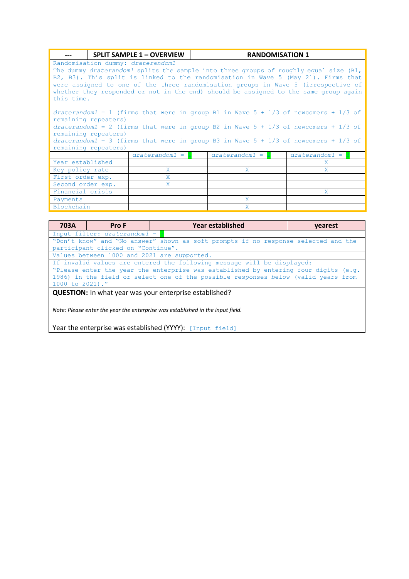|                                                                                                                                                                                                                                                                                                                                                                       | <b>SPLIT SAMPLE 1 - OVERVIEW</b> |  |                  |  | <b>RANDOMISATION 1</b> |  |  |
|-----------------------------------------------------------------------------------------------------------------------------------------------------------------------------------------------------------------------------------------------------------------------------------------------------------------------------------------------------------------------|----------------------------------|--|------------------|--|------------------------|--|--|
| Randomisation dummy: draterandom1                                                                                                                                                                                                                                                                                                                                     |                                  |  |                  |  |                        |  |  |
| The dummy draterandoml splits the sample into three groups of roughly equal size (B1,<br>B2, B3). This split is linked to the randomisation in Wave 5 (May 21). Firms that<br>were assigned to one of the three randomisation groups in Wave 5 (irrespective of<br>whether they responded or not in the end) should be assigned to the same group again<br>this time. |                                  |  |                  |  |                        |  |  |
| draterandom1 = 1 (firms that were in group B1 in Wave $5 + 1/3$ of newcomers + 1/3 of                                                                                                                                                                                                                                                                                 |                                  |  |                  |  |                        |  |  |
| remaining repeaters)<br>draterandom1 = 2 (firms that were in group B2 in Wave $5 + 1/3$ of newcomers + 1/3 of                                                                                                                                                                                                                                                         |                                  |  |                  |  |                        |  |  |
| remaining repeaters)<br>draterandom1 = 3 (firms that were in group B3 in Wave $5 + 1/3$ of newcomers + 1/3 of<br>remaining repeaters)                                                                                                                                                                                                                                 |                                  |  |                  |  |                        |  |  |
|                                                                                                                                                                                                                                                                                                                                                                       | $draterandom1 =$                 |  | $draterandom1 =$ |  | $draterandom1 =$       |  |  |
| Year established                                                                                                                                                                                                                                                                                                                                                      |                                  |  |                  |  | X.                     |  |  |
| Key policy rate                                                                                                                                                                                                                                                                                                                                                       | X                                |  | X                |  | X.                     |  |  |
| First order exp.                                                                                                                                                                                                                                                                                                                                                      | X.                               |  |                  |  |                        |  |  |
| Second order exp.<br>X                                                                                                                                                                                                                                                                                                                                                |                                  |  |                  |  |                        |  |  |
| Financial crisis                                                                                                                                                                                                                                                                                                                                                      |                                  |  |                  |  | X.                     |  |  |
| Payments                                                                                                                                                                                                                                                                                                                                                              |                                  |  | X                |  |                        |  |  |
| Blockchain                                                                                                                                                                                                                                                                                                                                                            |                                  |  | X                |  |                        |  |  |

| 703A                                                                                                                                                                                                                                                                   | Pro F                                       | <b>Year established</b>                                                                                                                          | vearest |  |
|------------------------------------------------------------------------------------------------------------------------------------------------------------------------------------------------------------------------------------------------------------------------|---------------------------------------------|--------------------------------------------------------------------------------------------------------------------------------------------------|---------|--|
|                                                                                                                                                                                                                                                                        | Input filter: draterandom1 =                |                                                                                                                                                  |         |  |
|                                                                                                                                                                                                                                                                        |                                             | "Don't know" and "No answer" shown as soft prompts if no response selected and the                                                               |         |  |
|                                                                                                                                                                                                                                                                        | participant clicked on "Continue".          |                                                                                                                                                  |         |  |
|                                                                                                                                                                                                                                                                        | Values between 1000 and 2021 are supported. |                                                                                                                                                  |         |  |
| If invalid values are entered the following message will be displayed:<br>"Please enter the year the enterprise was established by entering four digits (e.g.<br>1986) in the field or select one of the possible responses below (valid years from<br>1000 to 2021)." |                                             |                                                                                                                                                  |         |  |
|                                                                                                                                                                                                                                                                        |                                             | <b>QUESTION:</b> In what year was your enterprise established?<br>Note: Please enter the year the enterprise was established in the input field. |         |  |

Year the enterprise was established (YYYY): [Input field]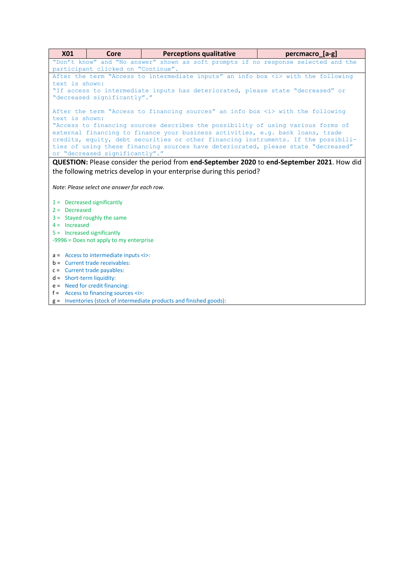| <b>X01</b>                         | Core                                                      | <b>Perceptions qualitative</b>                                                              | percmacro [a-g] |  |  |  |
|------------------------------------|-----------------------------------------------------------|---------------------------------------------------------------------------------------------|-----------------|--|--|--|
|                                    |                                                           | "Don't know" and "No answer" shown as soft prompts if no response selected and the          |                 |  |  |  |
| participant clicked on "Continue". |                                                           |                                                                                             |                 |  |  |  |
|                                    |                                                           | After the term "Access to intermediate inputs" an info box <i> with the following</i>       |                 |  |  |  |
| text is shown:                     |                                                           |                                                                                             |                 |  |  |  |
|                                    |                                                           | "If access to intermediate inputs has deteriorated, please state "decreased" or             |                 |  |  |  |
|                                    | "decreased significantly"."                               |                                                                                             |                 |  |  |  |
|                                    |                                                           | After the term "Access to financing sources" an info box <i> with the following</i>         |                 |  |  |  |
| text is shown:                     |                                                           |                                                                                             |                 |  |  |  |
|                                    |                                                           | "Access to financing sources describes the possibility of using various forms of            |                 |  |  |  |
|                                    |                                                           | external financing to finance your business activities, e.g. bank loans, trade              |                 |  |  |  |
|                                    |                                                           | credits, equity, debt securities or other financing instruments. If the possibili-          |                 |  |  |  |
|                                    |                                                           | ties of using these financing sources have deteriorated, please state "decreased"           |                 |  |  |  |
|                                    | or "decreased significantly"."                            |                                                                                             |                 |  |  |  |
|                                    |                                                           | QUESTION: Please consider the period from end-September 2020 to end-September 2021. How did |                 |  |  |  |
|                                    |                                                           | the following metrics develop in your enterprise during this period?                        |                 |  |  |  |
|                                    |                                                           |                                                                                             |                 |  |  |  |
|                                    | Note: Please select one answer for each row.              |                                                                                             |                 |  |  |  |
|                                    |                                                           |                                                                                             |                 |  |  |  |
|                                    | $1 =$ Decreased significantly                             |                                                                                             |                 |  |  |  |
| $2 =$ Decreased                    |                                                           |                                                                                             |                 |  |  |  |
|                                    | $3 =$ Stayed roughly the same                             |                                                                                             |                 |  |  |  |
| $4 =$ Increased                    |                                                           |                                                                                             |                 |  |  |  |
|                                    | $5 =$ Increased significantly                             |                                                                                             |                 |  |  |  |
|                                    | -9996 = Does not apply to my enterprise                   |                                                                                             |                 |  |  |  |
|                                    |                                                           |                                                                                             |                 |  |  |  |
|                                    | $a =$ Access to intermediate inputs $\langle i \rangle$ : |                                                                                             |                 |  |  |  |
|                                    | $b =$ Current trade receivables:                          |                                                                                             |                 |  |  |  |
|                                    | $c =$ Current trade payables:                             |                                                                                             |                 |  |  |  |
| $d =$ Short-term liquidity:        |                                                           |                                                                                             |                 |  |  |  |
|                                    | $e =$ Need for credit financing:                          |                                                                                             |                 |  |  |  |
|                                    | $f =$ Access to financing sources $\langle i \rangle$ :   |                                                                                             |                 |  |  |  |
|                                    |                                                           | $g =$ Inventories (stock of intermediate products and finished goods):                      |                 |  |  |  |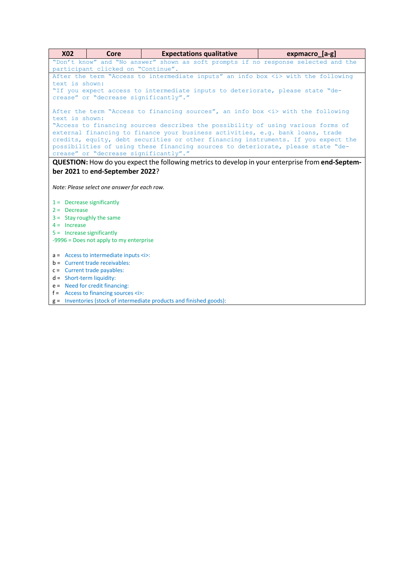| <b>X02</b><br><b>Expectations qualitative</b><br>expmacro [a-g]<br>Core                                 |  |  |  |  |  |
|---------------------------------------------------------------------------------------------------------|--|--|--|--|--|
| "Don't know" and "No answer" shown as soft prompts if no response selected and the                      |  |  |  |  |  |
| participant clicked on "Continue".                                                                      |  |  |  |  |  |
| After the term "Access to intermediate inputs" an info box <i> with the following</i>                   |  |  |  |  |  |
| text is shown:                                                                                          |  |  |  |  |  |
| "If you expect access to intermediate inputs to deteriorate, please state "de-                          |  |  |  |  |  |
| crease" or "decrease significantly"."                                                                   |  |  |  |  |  |
| After the term "Access to financing sources", an info box <i> with the following</i>                    |  |  |  |  |  |
| text is shown:                                                                                          |  |  |  |  |  |
| "Access to financing sources describes the possibility of using various forms of                        |  |  |  |  |  |
| external financing to finance your business activities, e.g. bank loans, trade                          |  |  |  |  |  |
| credits, equity, debt securities or other financing instruments. If you expect the                      |  |  |  |  |  |
| possibilities of using these financing sources to deteriorate, please state "de-                        |  |  |  |  |  |
| crease" or "decrease significantly"."                                                                   |  |  |  |  |  |
| <b>QUESTION:</b> How do you expect the following metrics to develop in your enterprise from end-Septem- |  |  |  |  |  |
| ber 2021 to end-September 2022?                                                                         |  |  |  |  |  |
|                                                                                                         |  |  |  |  |  |
| Note: Please select one answer for each row.                                                            |  |  |  |  |  |
|                                                                                                         |  |  |  |  |  |
| $1 =$ Decrease significantly                                                                            |  |  |  |  |  |
| $2 =$ Decrease                                                                                          |  |  |  |  |  |
| $3 =$ Stay roughly the same                                                                             |  |  |  |  |  |
| $4 =$ Increase                                                                                          |  |  |  |  |  |
| $5 =$ Increase significantly                                                                            |  |  |  |  |  |
| -9996 = Does not apply to my enterprise                                                                 |  |  |  |  |  |
|                                                                                                         |  |  |  |  |  |
| $a =$ Access to intermediate inputs $\langle i \rangle$ :<br>$b =$ Current trade receivables:           |  |  |  |  |  |
| $c =$ Current trade payables:                                                                           |  |  |  |  |  |
| $d =$ Short-term liquidity:                                                                             |  |  |  |  |  |
| $e =$ Need for credit financing:                                                                        |  |  |  |  |  |
| $f =$ Access to financing sources $\langle i \rangle$ :                                                 |  |  |  |  |  |
| $g =$ Inventories (stock of intermediate products and finished goods):                                  |  |  |  |  |  |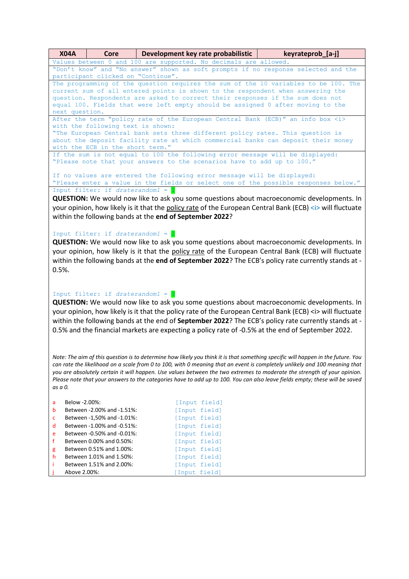| <b>X04A</b>        | Core                                                                                                                                                                                                       | Development key rate probabilistic                                                                                               | keyrateprob_[a-j] |  |  |  |
|--------------------|------------------------------------------------------------------------------------------------------------------------------------------------------------------------------------------------------------|----------------------------------------------------------------------------------------------------------------------------------|-------------------|--|--|--|
|                    |                                                                                                                                                                                                            | Values between 0 and 100 are supported. No decimals are allowed.                                                                 |                   |  |  |  |
|                    | "Don't know" and "No answer" shown as soft prompts if no response selected and the                                                                                                                         |                                                                                                                                  |                   |  |  |  |
|                    | participant clicked on "Continue".                                                                                                                                                                         |                                                                                                                                  |                   |  |  |  |
|                    | The programming of the question requires the sum of the 10 variables to be 100. The<br>current sum of all entered points is shown to the respondent when answering the                                     |                                                                                                                                  |                   |  |  |  |
|                    |                                                                                                                                                                                                            | question. Respondents are asked to correct their responses if the sum does not                                                   |                   |  |  |  |
|                    | equal 100. Fields that were left empty should be assigned 0 after moving to the                                                                                                                            |                                                                                                                                  |                   |  |  |  |
| next question.     |                                                                                                                                                                                                            |                                                                                                                                  |                   |  |  |  |
|                    |                                                                                                                                                                                                            | After the term "policy rate of the European Central Bank (ECB)" an info box <i></i>                                              |                   |  |  |  |
|                    | with the following text is shown:                                                                                                                                                                          |                                                                                                                                  |                   |  |  |  |
|                    |                                                                                                                                                                                                            | "The European Central bank sets three different policy rates. This question is                                                   |                   |  |  |  |
|                    | with the ECB in the short term."                                                                                                                                                                           | about the deposit facility rate at which commercial banks can deposit their money                                                |                   |  |  |  |
|                    |                                                                                                                                                                                                            | If the sum is not equal to 100 the following error message will be displayed:                                                    |                   |  |  |  |
|                    |                                                                                                                                                                                                            | "Please note that your answers to the scenarios have to add up to 100."                                                          |                   |  |  |  |
|                    |                                                                                                                                                                                                            |                                                                                                                                  |                   |  |  |  |
|                    |                                                                                                                                                                                                            | If no values are entered the following error message will be displayed:                                                          |                   |  |  |  |
|                    |                                                                                                                                                                                                            | "Please enter a value in the fields or select one of the possible responses below."                                              |                   |  |  |  |
|                    | Input filter: if draterandom1 =                                                                                                                                                                            |                                                                                                                                  |                   |  |  |  |
|                    |                                                                                                                                                                                                            | <b>QUESTION:</b> We would now like to ask you some questions about macroeconomic developments. In                                |                   |  |  |  |
|                    |                                                                                                                                                                                                            | your opinion, how likely is it that the policy rate of the European Central Bank (ECB) <i> will fluctuate</i>                    |                   |  |  |  |
|                    |                                                                                                                                                                                                            | within the following bands at the end of September 2022?                                                                         |                   |  |  |  |
|                    |                                                                                                                                                                                                            |                                                                                                                                  |                   |  |  |  |
|                    | Input filter: if draterandom1 = $2$                                                                                                                                                                        |                                                                                                                                  |                   |  |  |  |
|                    |                                                                                                                                                                                                            |                                                                                                                                  |                   |  |  |  |
|                    | <b>QUESTION:</b> We would now like to ask you some questions about macroeconomic developments. In<br>your opinion, how likely is it that the policy rate of the European Central Bank (ECB) will fluctuate |                                                                                                                                  |                   |  |  |  |
|                    | within the following bands at the end of September 2022? The ECB's policy rate currently stands at -                                                                                                       |                                                                                                                                  |                   |  |  |  |
|                    |                                                                                                                                                                                                            |                                                                                                                                  |                   |  |  |  |
| $0.5%$ .           |                                                                                                                                                                                                            |                                                                                                                                  |                   |  |  |  |
|                    |                                                                                                                                                                                                            |                                                                                                                                  |                   |  |  |  |
|                    |                                                                                                                                                                                                            |                                                                                                                                  |                   |  |  |  |
|                    | Input filter: if draterandom1 =                                                                                                                                                                            |                                                                                                                                  |                   |  |  |  |
|                    |                                                                                                                                                                                                            | <b>QUESTION:</b> We would now like to ask you some questions about macroeconomic developments. In                                |                   |  |  |  |
|                    |                                                                                                                                                                                                            | your opinion, how likely is it that the policy rate of the European Central Bank (ECB) <i> will fluctuate</i>                    |                   |  |  |  |
|                    |                                                                                                                                                                                                            | within the following bands at the end of September 2022? The ECB's policy rate currently stands at -                             |                   |  |  |  |
|                    | 0.5% and the financial markets are expecting a policy rate of -0.5% at the end of September 2022.                                                                                                          |                                                                                                                                  |                   |  |  |  |
|                    |                                                                                                                                                                                                            |                                                                                                                                  |                   |  |  |  |
|                    |                                                                                                                                                                                                            |                                                                                                                                  |                   |  |  |  |
|                    |                                                                                                                                                                                                            |                                                                                                                                  |                   |  |  |  |
|                    |                                                                                                                                                                                                            | Note: The aim of this question is to determine how likely you think it is that something specific will happen in the future. You |                   |  |  |  |
|                    |                                                                                                                                                                                                            | can rate the likelihood on a scale from 0 to 100, with 0 meaning that an event is completely unlikely and 100 meaning that       |                   |  |  |  |
|                    |                                                                                                                                                                                                            | you are absolutely certain it will happen. Use values between the two extremes to moderate the strength of your opinion.         |                   |  |  |  |
|                    |                                                                                                                                                                                                            | Please note that your answers to the categories have to add up to 100. You can also leave fields empty; these will be saved      |                   |  |  |  |
| as a 0.            |                                                                                                                                                                                                            |                                                                                                                                  |                   |  |  |  |
| Below -2.00%:<br>a |                                                                                                                                                                                                            | [Input field]                                                                                                                    |                   |  |  |  |
| b                  | Between -2.00% and -1.51%:                                                                                                                                                                                 | [Input field]                                                                                                                    |                   |  |  |  |
| с                  | Between -1,50% and -1.01%:                                                                                                                                                                                 | [Input field]                                                                                                                    |                   |  |  |  |
| d                  | Between -1.00% and -0.51%:                                                                                                                                                                                 | [Input field]                                                                                                                    |                   |  |  |  |
| e                  | Between -0.50% and -0.01%:                                                                                                                                                                                 | [Input field]                                                                                                                    |                   |  |  |  |
| f                  | Between 0.00% and 0.50%:                                                                                                                                                                                   | [Input field]                                                                                                                    |                   |  |  |  |
| g                  | Between 0.51% and 1.00%:                                                                                                                                                                                   | [Input field]                                                                                                                    |                   |  |  |  |
| h                  | Between 1.01% and 1.50%:                                                                                                                                                                                   | [Input field]                                                                                                                    |                   |  |  |  |
| Ť                  | Between 1.51% and 2.00%:                                                                                                                                                                                   | [Input field]                                                                                                                    |                   |  |  |  |
| Above 2.00%:       |                                                                                                                                                                                                            | [Input field]                                                                                                                    |                   |  |  |  |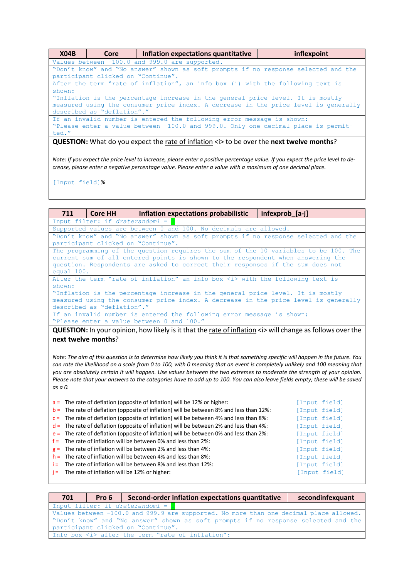| <b>X04B</b>                                                                                                                                                                                                                        | Core                                                                               | Inflation expectations quantitative | inflexpoint |  |  |
|------------------------------------------------------------------------------------------------------------------------------------------------------------------------------------------------------------------------------------|------------------------------------------------------------------------------------|-------------------------------------|-------------|--|--|
|                                                                                                                                                                                                                                    | Values between -100.0 and 999.0 are supported.                                     |                                     |             |  |  |
|                                                                                                                                                                                                                                    | "Don't know" and "No answer" shown as soft prompts if no response selected and the |                                     |             |  |  |
|                                                                                                                                                                                                                                    | participant clicked on "Continue".                                                 |                                     |             |  |  |
|                                                                                                                                                                                                                                    | After the term "rate of inflation", an info box (i) with the following text is     |                                     |             |  |  |
| shown:                                                                                                                                                                                                                             |                                                                                    |                                     |             |  |  |
| "Inflation is the percentage increase in the general price level. It is mostly<br>measured using the consumer price index. A decrease in the price level is generally<br>described as "deflation"."                                |                                                                                    |                                     |             |  |  |
| If an invalid number is entered the following error message is shown:<br>"Please enter a value between -100.0 and 999.0. Only one decimal place is permit-<br>ted."                                                                |                                                                                    |                                     |             |  |  |
| $\bullet$ . The set of the set of the set of the set of the set of the set of the set of the set of the set of the set of the set of the set of the set of the set of the set of the set of the set of the set of the set of the s |                                                                                    |                                     |             |  |  |

**QUESTION:** What do you expect the rate of inflation <i> to be over the next twelve months?

*Note: If you expect the price level to increase, please enter a positive percentage value. If you expect the price level to decrease, please enter a negative percentage value. Please enter a value with a maximum of one decimal place.*

[Input field]%

| 711                                                                                                                              | <b>Core HH</b>                                                                                                     | Inflation expectations probabilistic                                                                                                                                                                                                                                                                                                                                                                                                                         | infexprob [a-j] |  |  |
|----------------------------------------------------------------------------------------------------------------------------------|--------------------------------------------------------------------------------------------------------------------|--------------------------------------------------------------------------------------------------------------------------------------------------------------------------------------------------------------------------------------------------------------------------------------------------------------------------------------------------------------------------------------------------------------------------------------------------------------|-----------------|--|--|
|                                                                                                                                  | Input filter: if draterandom1 =                                                                                    |                                                                                                                                                                                                                                                                                                                                                                                                                                                              |                 |  |  |
|                                                                                                                                  |                                                                                                                    | Supported values are between 0 and 100. No decimals are allowed.                                                                                                                                                                                                                                                                                                                                                                                             |                 |  |  |
|                                                                                                                                  |                                                                                                                    | "Don't know" and "No answer" shown as soft prompts if no response selected and the                                                                                                                                                                                                                                                                                                                                                                           |                 |  |  |
|                                                                                                                                  | participant clicked on "Continue".                                                                                 |                                                                                                                                                                                                                                                                                                                                                                                                                                                              |                 |  |  |
|                                                                                                                                  |                                                                                                                    | The programming of the question requires the sum of the 10 variables to be 100. The                                                                                                                                                                                                                                                                                                                                                                          |                 |  |  |
|                                                                                                                                  |                                                                                                                    | current sum of all entered points is shown to the respondent when answering the<br>question. Respondents are asked to correct their responses if the sum does not                                                                                                                                                                                                                                                                                            |                 |  |  |
| equal 100.                                                                                                                       |                                                                                                                    |                                                                                                                                                                                                                                                                                                                                                                                                                                                              |                 |  |  |
|                                                                                                                                  |                                                                                                                    | After the term "rate of inflation" an info box <i> with the following text is</i>                                                                                                                                                                                                                                                                                                                                                                            |                 |  |  |
| shown:                                                                                                                           |                                                                                                                    |                                                                                                                                                                                                                                                                                                                                                                                                                                                              |                 |  |  |
|                                                                                                                                  |                                                                                                                    | "Inflation is the percentage increase in the general price level. It is mostly                                                                                                                                                                                                                                                                                                                                                                               |                 |  |  |
|                                                                                                                                  |                                                                                                                    | measured using the consumer price index. A decrease in the price level is generally                                                                                                                                                                                                                                                                                                                                                                          |                 |  |  |
|                                                                                                                                  | described as "deflation"."                                                                                         |                                                                                                                                                                                                                                                                                                                                                                                                                                                              |                 |  |  |
|                                                                                                                                  | If an invalid number is entered the following error message is shown:<br>"Please enter a value between 0 and 100." |                                                                                                                                                                                                                                                                                                                                                                                                                                                              |                 |  |  |
|                                                                                                                                  |                                                                                                                    |                                                                                                                                                                                                                                                                                                                                                                                                                                                              |                 |  |  |
|                                                                                                                                  |                                                                                                                    | <b>QUESTION:</b> In your opinion, how likely is it that the rate of inflation <i> will change as follows over the</i>                                                                                                                                                                                                                                                                                                                                        |                 |  |  |
| next twelve months?                                                                                                              |                                                                                                                    |                                                                                                                                                                                                                                                                                                                                                                                                                                                              |                 |  |  |
|                                                                                                                                  |                                                                                                                    |                                                                                                                                                                                                                                                                                                                                                                                                                                                              |                 |  |  |
| Note: The aim of this question is to determine how likely you think it is that something specific will happen in the future. You |                                                                                                                    |                                                                                                                                                                                                                                                                                                                                                                                                                                                              |                 |  |  |
| can rate the likelihood on a scale from 0 to 100, with 0 meaning that an event is completely unlikely and 100 meaning that       |                                                                                                                    |                                                                                                                                                                                                                                                                                                                                                                                                                                                              |                 |  |  |
|                                                                                                                                  |                                                                                                                    | you are absolutely certain it will happen. Use values between the two extremes to moderate the strength of your opinion.                                                                                                                                                                                                                                                                                                                                     |                 |  |  |
| Please note that your answers to the categories have to add up to 100. You can also leave fields empty; these will be saved      |                                                                                                                    |                                                                                                                                                                                                                                                                                                                                                                                                                                                              |                 |  |  |
| as a 0.                                                                                                                          |                                                                                                                    |                                                                                                                                                                                                                                                                                                                                                                                                                                                              |                 |  |  |
|                                                                                                                                  |                                                                                                                    |                                                                                                                                                                                                                                                                                                                                                                                                                                                              |                 |  |  |
| $a =$                                                                                                                            |                                                                                                                    | The rate of deflation (opposite of inflation) will be 12% or higher:                                                                                                                                                                                                                                                                                                                                                                                         | [Input field]   |  |  |
| $b =$                                                                                                                            |                                                                                                                    | The rate of deflation (opposite of inflation) will be between 8% and less than 12%:                                                                                                                                                                                                                                                                                                                                                                          | [Input field]   |  |  |
| $C =$                                                                                                                            |                                                                                                                    | The rate of deflation (opposite of inflation) will be between 4% and less than 8%:                                                                                                                                                                                                                                                                                                                                                                           | [Input field]   |  |  |
| $d =$                                                                                                                            |                                                                                                                    | The rate of deflation (opposite of inflation) will be between 2% and less than 4%:                                                                                                                                                                                                                                                                                                                                                                           | [Input field]   |  |  |
| $e =$                                                                                                                            |                                                                                                                    | The rate of deflation (opposite of inflation) will be between 0% and less than 2%:<br>The rate of inflation will be between 0% and less than 2%:                                                                                                                                                                                                                                                                                                             | [Input field]   |  |  |
| $f =$                                                                                                                            |                                                                                                                    | $g =$ The rate of inflation will be between 2% and less than 4%:                                                                                                                                                                                                                                                                                                                                                                                             | [Input field]   |  |  |
|                                                                                                                                  |                                                                                                                    | $\mathcal{L} = \mathcal{L} \mathcal{L} \mathcal{L} \mathcal{L} \mathcal{L} \mathcal{L} \mathcal{L} \mathcal{L} \mathcal{L} \mathcal{L} \mathcal{L} \mathcal{L} \mathcal{L} \mathcal{L} \mathcal{L} \mathcal{L} \mathcal{L} \mathcal{L} \mathcal{L} \mathcal{L} \mathcal{L} \mathcal{L} \mathcal{L} \mathcal{L} \mathcal{L} \mathcal{L} \mathcal{L} \mathcal{L} \mathcal{L} \mathcal{L} \mathcal{L} \mathcal{L} \mathcal{L} \mathcal{L} \mathcal{L} \mathcal$ | [Input field]   |  |  |

h = The rate of inflation will be between 4% and less than 8%: [Input field]<br>i = The rate of inflation will be between 8% and less than 12%: [Input field]

- i = The rate of inflation will be between 8% and less than 12%: [Input field]<br>j = The rate of inflation will be 12% or higher: [Input field]
- $j =$  The rate of inflation will be 12% or higher:

| secondinfexquant<br>Second-order inflation expectations quantitative<br>701<br>Pro 6   |  |  |
|----------------------------------------------------------------------------------------|--|--|
| Input filter: if draterandom1 =                                                        |  |  |
| Values between -100.0 and 999.9 are supported. No more than one decimal place allowed. |  |  |
| "Don't know" and "No answer" shown as soft prompts if no response selected and the     |  |  |
| participant clicked on "Continue".                                                     |  |  |
| Info box <i> after the term "rate of inflation":</i>                                   |  |  |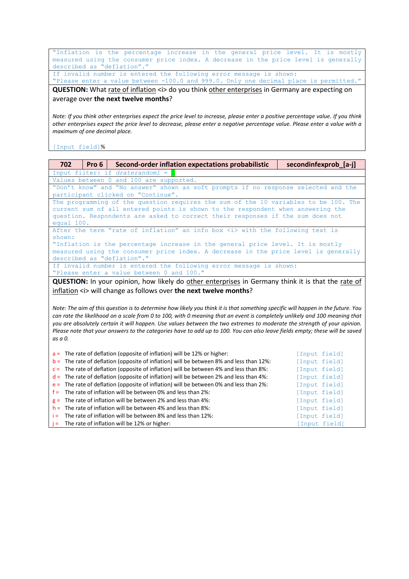"Inflation is the percentage increase in the general price level. It is mostly measured using the consumer price index. A decrease in the price level is generally described as "deflation"."

If invalid number is entered the following error message is shown: "Please enter a value between -100.0 and 999.0. Only one decimal place is permitted."

**QUESTION:** What rate of inflation <i> do you think other enterprises in Germany are expecting on average over **the next twelve months**?

*Note: If you think other enterprises expect the price level to increase, please enter a positive percentage value. If you think other enterprises expect the price level to decrease, please enter a negative percentage value. Please enter a value with a maximum of one decimal place.*

[Input field]%

| 702<br>Second-order inflation expectations probabilistic<br>Pro 6                                                                | secondinfexprob_[a-j] |  |  |  |
|----------------------------------------------------------------------------------------------------------------------------------|-----------------------|--|--|--|
| Input filter: if draterandom1 =                                                                                                  |                       |  |  |  |
| Values between 0 and 100 are supported.                                                                                          |                       |  |  |  |
| "Don't know" and "No answer" shown as soft prompts if no response selected and the<br>participant clicked on "Continue".         |                       |  |  |  |
| The programming of the question requires the sum of the 10 variables to be 100. The                                              |                       |  |  |  |
| current sum of all entered points is shown to the respondent when answering the                                                  |                       |  |  |  |
| question. Respondents are asked to correct their responses if the sum does not                                                   |                       |  |  |  |
| equal 100.                                                                                                                       |                       |  |  |  |
| After the term "rate of inflation" an info box <i> with the following text is</i>                                                |                       |  |  |  |
| shown:                                                                                                                           |                       |  |  |  |
| "Inflation is the percentage increase in the general price level. It is mostly                                                   |                       |  |  |  |
| measured using the consumer price index. A decrease in the price level is generally<br>described as "deflation"."                |                       |  |  |  |
| If invalid number is entered the following error message is shown:                                                               |                       |  |  |  |
| "Please enter a value between 0 and 100."                                                                                        |                       |  |  |  |
|                                                                                                                                  |                       |  |  |  |
| <b>QUESTION:</b> In your opinion, how likely do other enterprises in Germany think it is that the rate of                        |                       |  |  |  |
| inflation $\langle i \rangle$ will change as follows over the next twelve months?                                                |                       |  |  |  |
|                                                                                                                                  |                       |  |  |  |
| Note: The aim of this question is to determine how likely you think it is that something specific will happen in the future. You |                       |  |  |  |
| can rate the likelihood on a scale from 0 to 100, with 0 meaning that an event is completely unlikely and 100 meaning that       |                       |  |  |  |
| you are absolutely certain it will happen. Use values between the two extremes to moderate the strength of your opinion.         |                       |  |  |  |
| Please note that your answers to the categories have to add up to 100. You can also leave fields empty; these will be saved      |                       |  |  |  |
| as a 0.                                                                                                                          |                       |  |  |  |
| The rate of deflation (opposite of inflation) will be 12% or higher:<br>$a =$                                                    | [Input field]         |  |  |  |
| The rate of deflation (opposite of inflation) will be between 8% and less than 12%:<br>$b =$                                     | [Input field]         |  |  |  |
| The rate of deflation (opposite of inflation) will be between 4% and less than 8%:<br>$C =$                                      | [Input field]         |  |  |  |
| The rate of deflation (opposite of inflation) will be between 2% and less than 4%:<br>$d =$                                      | [Input field]         |  |  |  |
| The rate of deflation (opposite of inflation) will be between 0% and less than 2%:<br>$e =$                                      | [Input field]         |  |  |  |
| The rate of inflation will be between 0% and less than 2%:<br>$f =$                                                              | [Input field]         |  |  |  |
| The rate of inflation will be between 2% and less than 4%:<br>$g =$                                                              | [Input field]         |  |  |  |
| $h =$ The rate of inflation will be between 4% and less than 8%:                                                                 | [Input field]         |  |  |  |
| $i =$ The rate of inflation will be between 8% and less than 12%:                                                                | [Input field]         |  |  |  |
| $j =$ The rate of inflation will be 12% or higher:                                                                               | [Input field]         |  |  |  |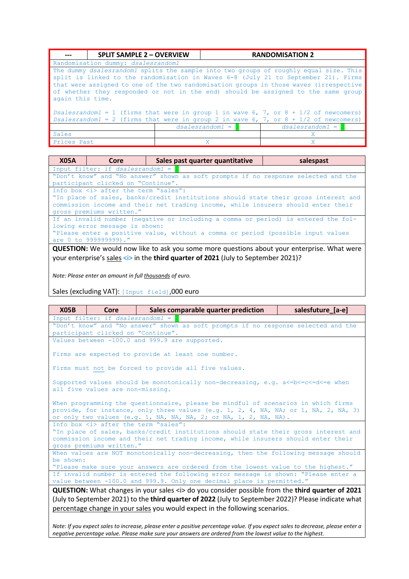|                  | <b>SPLIT SAMPLE 2 - OVERVIEW</b>                                                       |  |   | <b>RANDOMISATION 2</b>                                                                                                                                                                                                                                                                                                                                     |
|------------------|----------------------------------------------------------------------------------------|--|---|------------------------------------------------------------------------------------------------------------------------------------------------------------------------------------------------------------------------------------------------------------------------------------------------------------------------------------------------------------|
|                  | Randomisation dummy: dsalesrandom1                                                     |  |   |                                                                                                                                                                                                                                                                                                                                                            |
| again this time. |                                                                                        |  |   | The dummy dsalesrandoml splits the sample into two groups of roughly equal size. This<br>split is linked to the randomisation in Waves 6-8 (July 21 to September 21). Firms<br>that were assigned to one of the two randomisation groups in those waves (irrespective<br>of whether they responded or not in the end) should be assigned to the same group |
|                  | Dsalesrandom1 = 1 (firms that were in group 1 in wave 6, 7, or $8 + 1/2$ of newcomers) |  |   |                                                                                                                                                                                                                                                                                                                                                            |
|                  | Dsalesrandom1 = 2 (firms that were in group 2 in wave 6, 7, or $8 + 1/2$ of newcomers) |  |   |                                                                                                                                                                                                                                                                                                                                                            |
|                  | $dsalesrandom1 =$<br>$dsalesrandom1 = 1$                                               |  |   |                                                                                                                                                                                                                                                                                                                                                            |
| Sales            |                                                                                        |  |   | X                                                                                                                                                                                                                                                                                                                                                          |
| Prices Past      |                                                                                        |  | X | X                                                                                                                                                                                                                                                                                                                                                          |

| <b>X05A</b>                                                                                                                                                                                                                       | Core                                                                             | Sales past quarter quantitative                                                                                                                                          | salespast |
|-----------------------------------------------------------------------------------------------------------------------------------------------------------------------------------------------------------------------------------|----------------------------------------------------------------------------------|--------------------------------------------------------------------------------------------------------------------------------------------------------------------------|-----------|
|                                                                                                                                                                                                                                   | Input filter: if dsalesrandom1 =                                                 |                                                                                                                                                                          |           |
| "Don't know" and "No answer" shown as soft prompts if no response selected and the<br>participant clicked on "Continue".                                                                                                          |                                                                                  |                                                                                                                                                                          |           |
|                                                                                                                                                                                                                                   | Info box $\langle i \rangle$ after the term "sales":<br>gross premiums written." | "In place of sales, banks/credit institutions should state their gross interest and<br>commission income and their net trading income, while insurers should enter their |           |
| If an invalid number (negative or including a comma or period) is entered the fol-<br>lowing error message is shown:<br>"Please enter a positive value, without a comma or period (possible input values<br>are 0 to 999999999)." |                                                                                  |                                                                                                                                                                          |           |
|                                                                                                                                                                                                                                   |                                                                                  |                                                                                                                                                                          |           |

**QUESTION:** We would now like to ask you some more questions about your enterprise. What were your enterprise's sales <i> in the **third quarter of 2021** (July to September 2021)?

*Note: Please enter an amount in full thousands of euro.*

Sales (excluding VAT): [Input field],000 euro

| X05B                                                                                                                                                                                                                                                                                                         | Core                                                                                                                                                                                                                                             | Sales comparable quarter prediction                  | salesfuture_[a-e] |  |
|--------------------------------------------------------------------------------------------------------------------------------------------------------------------------------------------------------------------------------------------------------------------------------------------------------------|--------------------------------------------------------------------------------------------------------------------------------------------------------------------------------------------------------------------------------------------------|------------------------------------------------------|-------------------|--|
|                                                                                                                                                                                                                                                                                                              | Input filter: if $dsalesrandom1 =$                                                                                                                                                                                                               |                                                      |                   |  |
| "Don't know" and "No answer" shown as soft prompts if no response selected and the                                                                                                                                                                                                                           |                                                                                                                                                                                                                                                  |                                                      |                   |  |
|                                                                                                                                                                                                                                                                                                              | participant clicked on "Continue".                                                                                                                                                                                                               |                                                      |                   |  |
|                                                                                                                                                                                                                                                                                                              | Values between -100.0 and 999.9 are supported.                                                                                                                                                                                                   |                                                      |                   |  |
|                                                                                                                                                                                                                                                                                                              |                                                                                                                                                                                                                                                  | Firms are expected to provide at least one number.   |                   |  |
|                                                                                                                                                                                                                                                                                                              |                                                                                                                                                                                                                                                  | Firms must not be forced to provide all five values. |                   |  |
|                                                                                                                                                                                                                                                                                                              | Supported values should be monotonically non-decreasing, e.g. $a \leq -b \leq -c \leq -d \leq -e$ when<br>all five values are non-missing.                                                                                                       |                                                      |                   |  |
| When programming the questionnaire, please be mindful of scenarios in which firms<br>provide, for instance, only three values (e.g. 1, 2, 4, NA, NA; or 1, NA, 2, NA, 3)<br>or only two values (e.g. 1, NA, NA, NA, 2; or NA, 1, 2, NA, NA).                                                                 |                                                                                                                                                                                                                                                  |                                                      |                   |  |
| Info box <i> after the term "sales":<br/>"In place of sales, banks/credit institutions should state their gross interest and<br/>commission income and their net trading income, while insurers should enter their<br/>gross premiums written."</i>                                                          |                                                                                                                                                                                                                                                  |                                                      |                   |  |
| be shown:                                                                                                                                                                                                                                                                                                    | When values are NOT monotonically non-decreasing, then the following message should                                                                                                                                                              |                                                      |                   |  |
|                                                                                                                                                                                                                                                                                                              | "Please make sure your answers are ordered from the lowest value to the highest."<br>If invalid number is entered the following error message is shown: "Please enter a<br>value between -100.0 and 999.9. Only one decimal place is permitted." |                                                      |                   |  |
| <b>QUESTION:</b> What changes in your sales <i> do you consider possible from the <b>third quarter of 2021</b><br/>(July to September 2021) to the third quarter of 2022 (July to September 2022)? Please indicate what<br/>percentage change in your sales you would expect in the following scenarios.</i> |                                                                                                                                                                                                                                                  |                                                      |                   |  |

*Note: If you expect sales to increase, please enter a positive percentage value. If you expect sales to decrease, please enter a negative percentage value. Please make sure your answers are ordered from the lowest value to the highest.*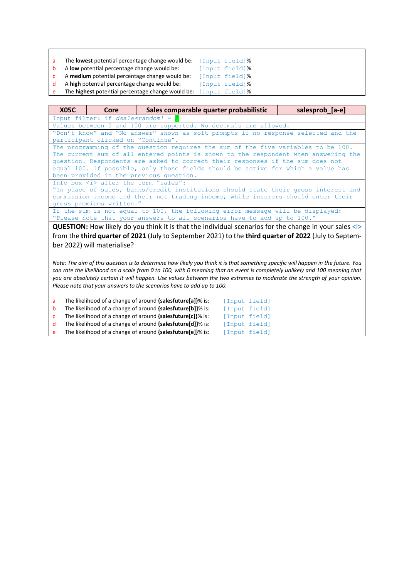- **The lowest potential percentage change would be:** [Input field]% A **low** potential percentage change would be: [Input field]%
- b A **low** potential percentage change would be:
- c A **medium** potential percentage change would be: [Input field]%
- d A high potential percentage change would be: [Input field]% The **highest** potential percentage change would be: [Input field]%

**X05C Core Sales comparable quarter probabilistic salesprob\_[a-e]** Input filter: if *dsalesrandom1* = 2 Values between 0 and 100 are supported. No decimals are allowed. "Don't know" and "No answer" shown as soft prompts if no response selected and the participant clicked on "Continue". The programming of the question requires the sum of the five variables to be 100. The current sum of all entered points is shown to the respondent when answering the question. Respondents are asked to correct their responses if the sum does not equal 100. If possible, only those fields should be active for which a value has been provided in the previous question. Info box  $\langle i \rangle$  after the term "sales": "In place of sales, banks/credit institutions should state their gross interest and commission income and their net trading income, while insurers should enter their gross premiums written." If the sum is not equal to 100, the following error message will be displayed:

"Please note that your answers to all scenarios have to add up to 100."

**QUESTION:** How likely do you think it is that the individual scenarios for the change in your sales <i> from the **third quarter of 2021** (July to September 2021) to the **third quarter of 2022** (July to September 2022) will materialise?

*Note: The aim of this question is to determine how likely you think it is that something specific will happen in the future. You can rate the likelihood on a scale from 0 to 100, with 0 meaning that an event is completely unlikely and 100 meaning that you are absolutely certain it will happen. Use values between the two extremes to moderate the strength of your opinion. Please note that your answers to the scenarios have to add up to 100.*

| a.       | The likelihood of a change of around {salesfuture[a]}% is: | [Input field] |  |
|----------|------------------------------------------------------------|---------------|--|
|          | The likelihood of a change of around {salesfuture[b]}% is: | [Input field] |  |
| <b>C</b> | The likelihood of a change of around {salesfuture[c]}% is: | [Input field] |  |
|          | The likelihood of a change of around {salesfuture[d]}% is: | [Input field] |  |
| e        | The likelihood of a change of around {salesfuture[e]}% is: | [Input field] |  |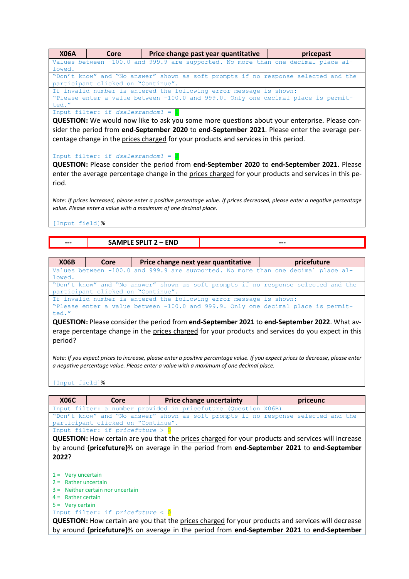| <b>X06A</b>    | Core                                                                                          |                                                                                        | Price change past year quantitative                                                                                                                     | pricepast                                                                                                                                                                                                                              |  |  |
|----------------|-----------------------------------------------------------------------------------------------|----------------------------------------------------------------------------------------|---------------------------------------------------------------------------------------------------------------------------------------------------------|----------------------------------------------------------------------------------------------------------------------------------------------------------------------------------------------------------------------------------------|--|--|
|                |                                                                                               |                                                                                        |                                                                                                                                                         | Values between -100.0 and 999.9 are supported. No more than one decimal place al-                                                                                                                                                      |  |  |
| lowed.         |                                                                                               |                                                                                        |                                                                                                                                                         | "Don't know" and "No answer" shown as soft prompts if no response selected and the                                                                                                                                                     |  |  |
|                | participant clicked on "Continue".                                                            |                                                                                        |                                                                                                                                                         |                                                                                                                                                                                                                                        |  |  |
|                |                                                                                               | If invalid number is entered the following error message is shown:                     |                                                                                                                                                         |                                                                                                                                                                                                                                        |  |  |
|                | "Please enter a value between -100.0 and 999.0. Only one decimal place is permit-             |                                                                                        |                                                                                                                                                         |                                                                                                                                                                                                                                        |  |  |
| ted."          |                                                                                               |                                                                                        |                                                                                                                                                         |                                                                                                                                                                                                                                        |  |  |
|                | Input filter: if $dsales random1 =$                                                           |                                                                                        |                                                                                                                                                         |                                                                                                                                                                                                                                        |  |  |
|                | QUESTION: We would now like to ask you some more questions about your enterprise. Please con- |                                                                                        |                                                                                                                                                         |                                                                                                                                                                                                                                        |  |  |
|                |                                                                                               |                                                                                        |                                                                                                                                                         | sider the period from end-September 2020 to end-September 2021. Please enter the average per-                                                                                                                                          |  |  |
|                |                                                                                               | centage change in the prices charged for your products and services in this period.    |                                                                                                                                                         |                                                                                                                                                                                                                                        |  |  |
|                |                                                                                               |                                                                                        |                                                                                                                                                         |                                                                                                                                                                                                                                        |  |  |
|                | Input filter: if dsalesrandom1 = $2$                                                          |                                                                                        |                                                                                                                                                         |                                                                                                                                                                                                                                        |  |  |
|                |                                                                                               |                                                                                        |                                                                                                                                                         | QUESTION: Please consider the period from end-September 2020 to end-September 2021. Please                                                                                                                                             |  |  |
|                |                                                                                               |                                                                                        |                                                                                                                                                         |                                                                                                                                                                                                                                        |  |  |
|                |                                                                                               |                                                                                        |                                                                                                                                                         | enter the average percentage change in the prices charged for your products and services in this pe-                                                                                                                                   |  |  |
| riod.          |                                                                                               |                                                                                        |                                                                                                                                                         |                                                                                                                                                                                                                                        |  |  |
|                |                                                                                               |                                                                                        |                                                                                                                                                         |                                                                                                                                                                                                                                        |  |  |
|                |                                                                                               |                                                                                        |                                                                                                                                                         | Note: If prices increased, please enter a positive percentage value. If prices decreased, please enter a negative percentage                                                                                                           |  |  |
|                |                                                                                               | value. Please enter a value with a maximum of one decimal place.                       |                                                                                                                                                         |                                                                                                                                                                                                                                        |  |  |
|                |                                                                                               |                                                                                        |                                                                                                                                                         |                                                                                                                                                                                                                                        |  |  |
| [Input field]% |                                                                                               |                                                                                        |                                                                                                                                                         |                                                                                                                                                                                                                                        |  |  |
|                |                                                                                               |                                                                                        |                                                                                                                                                         |                                                                                                                                                                                                                                        |  |  |
|                |                                                                                               | <b>SAMPLE SPLIT 2 - END</b>                                                            |                                                                                                                                                         |                                                                                                                                                                                                                                        |  |  |
|                |                                                                                               |                                                                                        |                                                                                                                                                         |                                                                                                                                                                                                                                        |  |  |
| <b>X06B</b>    | Core                                                                                          |                                                                                        | Price change next year quantitative                                                                                                                     | pricefuture                                                                                                                                                                                                                            |  |  |
|                |                                                                                               |                                                                                        |                                                                                                                                                         | Values between -100.0 and 999.9 are supported. No more than one decimal place al-                                                                                                                                                      |  |  |
| lowed.         |                                                                                               |                                                                                        |                                                                                                                                                         |                                                                                                                                                                                                                                        |  |  |
|                |                                                                                               |                                                                                        |                                                                                                                                                         | "Don't know" and "No answer" shown as soft prompts if no response selected and the                                                                                                                                                     |  |  |
|                |                                                                                               | participant clicked on "Continue".                                                     |                                                                                                                                                         |                                                                                                                                                                                                                                        |  |  |
|                |                                                                                               |                                                                                        | If invalid number is entered the following error message is shown:<br>"Please enter a value between -100.0 and 999.9. Only one decimal place is permit- |                                                                                                                                                                                                                                        |  |  |
|                |                                                                                               |                                                                                        |                                                                                                                                                         |                                                                                                                                                                                                                                        |  |  |
|                |                                                                                               |                                                                                        |                                                                                                                                                         |                                                                                                                                                                                                                                        |  |  |
| ted."          |                                                                                               |                                                                                        |                                                                                                                                                         |                                                                                                                                                                                                                                        |  |  |
|                |                                                                                               |                                                                                        |                                                                                                                                                         | QUESTION: Please consider the period from end-September 2021 to end-September 2022. What av-                                                                                                                                           |  |  |
|                |                                                                                               |                                                                                        |                                                                                                                                                         |                                                                                                                                                                                                                                        |  |  |
| period?        |                                                                                               |                                                                                        |                                                                                                                                                         |                                                                                                                                                                                                                                        |  |  |
|                |                                                                                               |                                                                                        |                                                                                                                                                         |                                                                                                                                                                                                                                        |  |  |
|                |                                                                                               |                                                                                        |                                                                                                                                                         |                                                                                                                                                                                                                                        |  |  |
|                |                                                                                               | a negative percentage value. Please enter a value with a maximum of one decimal place. |                                                                                                                                                         |                                                                                                                                                                                                                                        |  |  |
|                |                                                                                               |                                                                                        |                                                                                                                                                         |                                                                                                                                                                                                                                        |  |  |
| [Input field]% |                                                                                               |                                                                                        |                                                                                                                                                         |                                                                                                                                                                                                                                        |  |  |
|                |                                                                                               |                                                                                        |                                                                                                                                                         | erage percentage change in the prices charged for your products and services do you expect in this<br>Note: If you expect prices to increase, please enter a positive percentage value. If you expect prices to decrease, please enter |  |  |
| <b>X06C</b>    | Core                                                                                          |                                                                                        | <b>Price change uncertainty</b>                                                                                                                         | priceunc                                                                                                                                                                                                                               |  |  |
|                |                                                                                               | Input filter: a number provided in pricefuture (Question X06B)                         |                                                                                                                                                         |                                                                                                                                                                                                                                        |  |  |
|                |                                                                                               |                                                                                        |                                                                                                                                                         | "Don't know" and "No answer" shown as soft prompts if no response selected and the                                                                                                                                                     |  |  |
|                |                                                                                               | participant clicked on "Continue".                                                     |                                                                                                                                                         |                                                                                                                                                                                                                                        |  |  |
|                | Input filter: if pricefuture > 0                                                              |                                                                                        |                                                                                                                                                         |                                                                                                                                                                                                                                        |  |  |
|                |                                                                                               |                                                                                        |                                                                                                                                                         | <b>QUESTION:</b> How certain are you that the prices charged for your products and services will increase<br>by around {pricefuture}% on average in the period from end-September 2021 to end-September                                |  |  |

**2022**?

 $1 = \nV$ ery uncertain

2 = Rather uncertain

- 3 = Neither certain nor uncertain
- $4 =$  Rather certain

5 = Very certain

Input filter: if *pricefuture* < 0

**QUESTION:** How certain are you that the prices charged for your products and services will decrease by around **{pricefuture}**% on average in the period from **end-September 2021** to **end-September**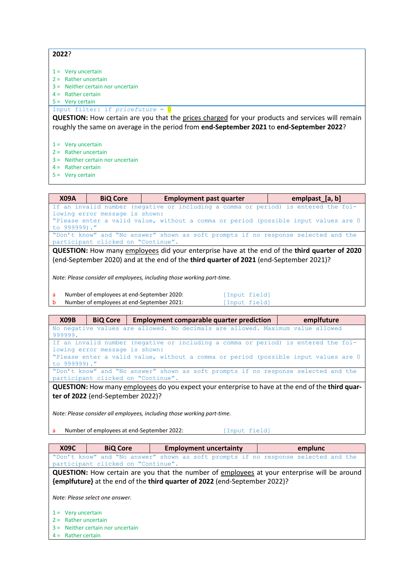**2022**?

- $1 =$  Very uncertain
- 2 = Rather uncertain
- 3 = Neither certain nor uncertain
- $4 =$ Rather certain
- $5 = \text{Very certain}$

Input filter: if *pricefuture* = 0

**QUESTION:** How certain are you that the prices charged for your products and services will remain roughly the same on average in the period from **end-September 2021** to **end-September 2022**?

- $1 = \nV$ ery uncertain
- 2 = Rather uncertain
- 3 = Neither certain nor uncertain
- $4 =$ Rather certain
- 5 = Very certain

**X09A BiQ Core Employment past quarter Employment past quarter E** If an invalid number (negative or including a comma or period) is entered the following error message is shown: "Please enter a valid value, without a comma or period (possible input values are 0 to 999999)." "Don't know" and "No answer" shown as soft prompts if no response selected and the participant clicked on "Continue".

**QUESTION:** How many employees did your enterprise have at the end of the **third quarter of 2020** (end-September 2020) and at the end of the **third quarter of 2021** (end-September 2021)?

*Note: Please consider all employees, including those working part-time.*

| Number of employees at end-September 2020: | [Input field] |  |
|--------------------------------------------|---------------|--|
| Number of employees at end-September 2021: | [Input field] |  |

| emplfuture<br><b>X09B</b><br><b>BiQ Core</b><br><b>Employment comparable quarter prediction</b>                                                                                                                             |  |  |  |
|-----------------------------------------------------------------------------------------------------------------------------------------------------------------------------------------------------------------------------|--|--|--|
| No negative values are allowed. No decimals are allowed. Maximum value allowed<br>999999.                                                                                                                                   |  |  |  |
| If an invalid number (negative or including a comma or period) is entered the fol-<br>lowing error message is shown:<br>"Please enter a valid value, without a comma or period (possible input values are 0<br>to 999999)." |  |  |  |
| "Don't know" and "No answer" shown as soft prompts if no response selected and the<br>participant clicked on "Continue".                                                                                                    |  |  |  |

**QUESTION:** How many employees do you expect your enterprise to have at the end of the **third quarter of 2022** (end-September 2022)?

*Note: Please consider all employees, including those working part-time.*

a Number of employees at end-September 2022: [Input field]

| <b>X09C</b> | <b>BiO Core</b>                    | <b>Employment uncertainty</b>                                                                       | emplunc |  |  |  |
|-------------|------------------------------------|-----------------------------------------------------------------------------------------------------|---------|--|--|--|
|             |                                    | "Don't know" and "No answer" shown as soft prompts if no response selected and the                  |         |  |  |  |
|             | participant clicked on "Continue". |                                                                                                     |         |  |  |  |
|             |                                    | <b>QUESTION:</b> How certain are you that the number of employees at your enterprise will be around |         |  |  |  |

**{emplfuture}** at the end of the **third quarter of 2022** (end-September 2022)?

*Note: Please select one answer.*

- $1 =$  Very uncertain
- $2 =$  Rather uncertain
- 3 = Neither certain nor uncertain
- 4 = Rather certain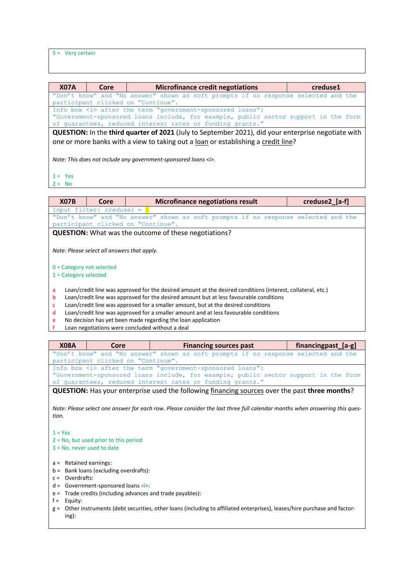5 = Very certain

| <b>X07A</b> | Core                                                                              | <b>Microfinance credit negotiations</b>                                                             | creduse1 |  |  |  |
|-------------|-----------------------------------------------------------------------------------|-----------------------------------------------------------------------------------------------------|----------|--|--|--|
|             |                                                                                   | "Don't know" and "No answer" shown as soft prompts if no response selected and the                  |          |  |  |  |
|             |                                                                                   | participant clicked on "Continue".                                                                  |          |  |  |  |
|             |                                                                                   | Info box <i> after the term "government-sponsored loans":</i>                                       |          |  |  |  |
|             |                                                                                   | "Government-sponsored loans include, for example, public sector support in the form                 |          |  |  |  |
|             |                                                                                   | of guarantees, reduced interest rates or funding grants."                                           |          |  |  |  |
|             |                                                                                   | QUESTION: In the third quarter of 2021 (July to September 2021), did your enterprise negotiate with |          |  |  |  |
|             | one or more banks with a view to taking out a loan or establishing a credit line? |                                                                                                     |          |  |  |  |
|             |                                                                                   |                                                                                                     |          |  |  |  |
|             |                                                                                   | Note: This does not include any government-sponsored loans <i>.</i>                                 |          |  |  |  |

# $1 = Yes$

 $2 = No$ 

| <b>X07B</b>                                                                                                      | Core                                        |  | <b>Microfinance negotiations result</b>                                              | creduse2 [a-f] |  |  |
|------------------------------------------------------------------------------------------------------------------|---------------------------------------------|--|--------------------------------------------------------------------------------------|----------------|--|--|
|                                                                                                                  | Input filter: $c$ reduse1 = $1$             |  |                                                                                      |                |  |  |
|                                                                                                                  |                                             |  | "Don't know" and "No answer" shown as soft prompts if no response selected and the   |                |  |  |
|                                                                                                                  | participant clicked on "Continue".          |  |                                                                                      |                |  |  |
|                                                                                                                  |                                             |  | <b>QUESTION:</b> What was the outcome of these negotiations?                         |                |  |  |
| $0 =$ Category not selected<br>$1 =$ Category selected                                                           | Note: Please select all answers that apply. |  |                                                                                      |                |  |  |
| Loan/credit line was approved for the desired amount at the desired conditions (interest, collateral, etc.)<br>a |                                             |  |                                                                                      |                |  |  |
| Loan/credit line was approved for the desired amount but at less favourable conditions<br>b                      |                                             |  |                                                                                      |                |  |  |
| Loan/credit line was approved for a smaller amount, but at the desired conditions<br>c                           |                                             |  |                                                                                      |                |  |  |
| d                                                                                                                |                                             |  | Loan/credit line was approved for a smaller amount and at less favourable conditions |                |  |  |
| e                                                                                                                |                                             |  | No decision has yet been made regarding the loan application                         |                |  |  |

f Loan negotiations were concluded without a deal

|                                                                                                                                                                                                                                                                                                   | Core                                                                                                                                                  | <b>Financing sources past</b>                                                                                              | financingpast_[a-g] |  |  |  |  |
|---------------------------------------------------------------------------------------------------------------------------------------------------------------------------------------------------------------------------------------------------------------------------------------------------|-------------------------------------------------------------------------------------------------------------------------------------------------------|----------------------------------------------------------------------------------------------------------------------------|---------------------|--|--|--|--|
| "Don't know" and "No answer" shown as soft prompts if no response selected and the<br>participant clicked on "Continue".                                                                                                                                                                          |                                                                                                                                                       |                                                                                                                            |                     |  |  |  |  |
|                                                                                                                                                                                                                                                                                                   | Info box <i> after the term "government-sponsored loans":<br/>"Government-sponsored loans include, for example, public sector support in the form</i> |                                                                                                                            |                     |  |  |  |  |
|                                                                                                                                                                                                                                                                                                   |                                                                                                                                                       | of quarantees, reduced interest rates or funding grants."                                                                  |                     |  |  |  |  |
|                                                                                                                                                                                                                                                                                                   |                                                                                                                                                       | <b>QUESTION:</b> Has your enterprise used the following financing sources over the past three months?                      |                     |  |  |  |  |
| tion.                                                                                                                                                                                                                                                                                             |                                                                                                                                                       | Note: Please select one answer for each row. Please consider the last three full calendar months when answering this ques- |                     |  |  |  |  |
| $1 = Yes$<br>$2 = No$ , but used prior to this period<br>$3 = No$ , never used to date                                                                                                                                                                                                            |                                                                                                                                                       |                                                                                                                            |                     |  |  |  |  |
| $a =$ Retained earnings:<br>Bank loans (excluding overdrafts):<br>$b =$<br>Overdrafts:<br>$C =$<br>Government-sponsored loans <i>:<br/><math>d =</math><br/>Trade credits (including advances and trade payables):<br/><math>e =</math><br/>Equity:<br/><math>f =</math><br/><math>g =</math></i> |                                                                                                                                                       | Other instruments (debt securities, other loans (including to affiliated enterprises), leases/hire purchase and factor-    |                     |  |  |  |  |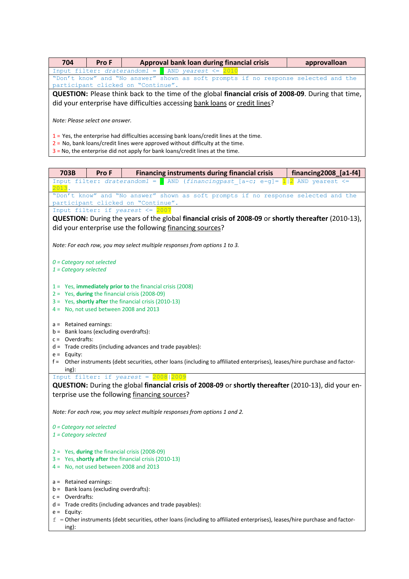| 704                                                                                                                                                                           | Pro F                                                                       |                                    | Approval bank loan during financial crisis                                      |  |  | approvalloan                                                                                         |
|-------------------------------------------------------------------------------------------------------------------------------------------------------------------------------|-----------------------------------------------------------------------------|------------------------------------|---------------------------------------------------------------------------------|--|--|------------------------------------------------------------------------------------------------------|
|                                                                                                                                                                               | Input filter: $draterandom1 =$ AND yearest $\leq$ 2010                      |                                    |                                                                                 |  |  |                                                                                                      |
|                                                                                                                                                                               |                                                                             |                                    |                                                                                 |  |  | "Don't know" and "No answer" shown as soft prompts if no response selected and the                   |
|                                                                                                                                                                               |                                                                             | participant clicked on "Continue". |                                                                                 |  |  |                                                                                                      |
|                                                                                                                                                                               |                                                                             |                                    |                                                                                 |  |  | QUESTION: Please think back to the time of the global financial crisis of 2008-09. During that time, |
|                                                                                                                                                                               | did your enterprise have difficulties accessing bank loans or credit lines? |                                    |                                                                                 |  |  |                                                                                                      |
| Note: Please select one answer.                                                                                                                                               |                                                                             |                                    |                                                                                 |  |  |                                                                                                      |
| $1 = Yes$ , the enterprise had difficulties accessing bank loans/credit lines at the time.<br>$2$ = No, bank loans/credit lines were approved without difficulty at the time. |                                                                             |                                    |                                                                                 |  |  |                                                                                                      |
|                                                                                                                                                                               |                                                                             |                                    | $3$ = No, the enterprise did not apply for bank loans/credit lines at the time. |  |  |                                                                                                      |

| 703B                                                                               | Pro F                                    | <b>Financing instruments during financial crisis</b>                                                                                                                                    | financing2008_[a1-f4] |  |  |  |  |
|------------------------------------------------------------------------------------|------------------------------------------|-----------------------------------------------------------------------------------------------------------------------------------------------------------------------------------------|-----------------------|--|--|--|--|
| 2013.                                                                              |                                          | Input filter: draterandom1 = $\blacksquare$ AND (financingpast [a-c; e-g]= $\frac{1}{2}$ AND yearest <=                                                                                 |                       |  |  |  |  |
| "Don't know" and "No answer" shown as soft prompts if no response selected and the |                                          |                                                                                                                                                                                         |                       |  |  |  |  |
| participant clicked on "Continue".                                                 |                                          |                                                                                                                                                                                         |                       |  |  |  |  |
|                                                                                    |                                          | Input filter: if yearest $\leq$ 2007                                                                                                                                                    |                       |  |  |  |  |
|                                                                                    |                                          | QUESTION: During the years of the global financial crisis of 2008-09 or shortly thereafter (2010-13),                                                                                   |                       |  |  |  |  |
|                                                                                    |                                          | did your enterprise use the following financing sources?                                                                                                                                |                       |  |  |  |  |
|                                                                                    |                                          | Note: For each row, you may select multiple responses from options 1 to 3.                                                                                                              |                       |  |  |  |  |
| $0 =$ Category not selected                                                        |                                          |                                                                                                                                                                                         |                       |  |  |  |  |
| $1 =$ Category selected                                                            |                                          |                                                                                                                                                                                         |                       |  |  |  |  |
|                                                                                    |                                          |                                                                                                                                                                                         |                       |  |  |  |  |
|                                                                                    |                                          | $1 =$ Yes, immediately prior to the financial crisis (2008)                                                                                                                             |                       |  |  |  |  |
|                                                                                    |                                          | 2 = Yes, during the financial crisis (2008-09)                                                                                                                                          |                       |  |  |  |  |
|                                                                                    |                                          | 3 = Yes, shortly after the financial crisis (2010-13)                                                                                                                                   |                       |  |  |  |  |
|                                                                                    |                                          | $4 = No$ , not used between 2008 and 2013                                                                                                                                               |                       |  |  |  |  |
|                                                                                    |                                          |                                                                                                                                                                                         |                       |  |  |  |  |
| a = Retained earnings:                                                             | $b =$ Bank loans (excluding overdrafts): |                                                                                                                                                                                         |                       |  |  |  |  |
| $c =$ Overdrafts:                                                                  |                                          |                                                                                                                                                                                         |                       |  |  |  |  |
|                                                                                    |                                          | d = Trade credits (including advances and trade payables):                                                                                                                              |                       |  |  |  |  |
| $e =$ Equity:                                                                      |                                          |                                                                                                                                                                                         |                       |  |  |  |  |
|                                                                                    |                                          | f = Other instruments (debt securities, other loans (including to affiliated enterprises), leases/hire purchase and factor-                                                             |                       |  |  |  |  |
| ing):                                                                              |                                          |                                                                                                                                                                                         |                       |  |  |  |  |
|                                                                                    |                                          | Input filter: if $yearest = 2008/2009$                                                                                                                                                  |                       |  |  |  |  |
|                                                                                    |                                          | QUESTION: During the global financial crisis of 2008-09 or shortly thereafter (2010-13), did your en-<br>terprise use the following financing sources?                                  |                       |  |  |  |  |
|                                                                                    |                                          |                                                                                                                                                                                         |                       |  |  |  |  |
|                                                                                    |                                          | Note: For each row, you may select multiple responses from options 1 and 2.                                                                                                             |                       |  |  |  |  |
| $0 =$ Category not selected                                                        |                                          |                                                                                                                                                                                         |                       |  |  |  |  |
| $1 =$ Category selected                                                            |                                          |                                                                                                                                                                                         |                       |  |  |  |  |
|                                                                                    |                                          |                                                                                                                                                                                         |                       |  |  |  |  |
|                                                                                    |                                          | $2 =$ Yes, during the financial crisis (2008-09)                                                                                                                                        |                       |  |  |  |  |
|                                                                                    |                                          | 3 = Yes, shortly after the financial crisis (2010-13)                                                                                                                                   |                       |  |  |  |  |
| $4 =$ No, not used between 2008 and 2013                                           |                                          |                                                                                                                                                                                         |                       |  |  |  |  |
|                                                                                    |                                          |                                                                                                                                                                                         |                       |  |  |  |  |
| $a =$                                                                              | Retained earnings:                       |                                                                                                                                                                                         |                       |  |  |  |  |
| $b =$                                                                              | Bank loans (excluding overdrafts):       |                                                                                                                                                                                         |                       |  |  |  |  |
| $c =$                                                                              |                                          |                                                                                                                                                                                         |                       |  |  |  |  |
|                                                                                    |                                          |                                                                                                                                                                                         |                       |  |  |  |  |
|                                                                                    |                                          |                                                                                                                                                                                         |                       |  |  |  |  |
|                                                                                    |                                          |                                                                                                                                                                                         |                       |  |  |  |  |
| Overdrafts:<br>$e =$ Equity:<br>ing):                                              |                                          | Trade credits (including advances and trade payables):<br>$f =$ Other instruments (debt securities, other loans (including to affiliated enterprises), leases/hire purchase and factor- |                       |  |  |  |  |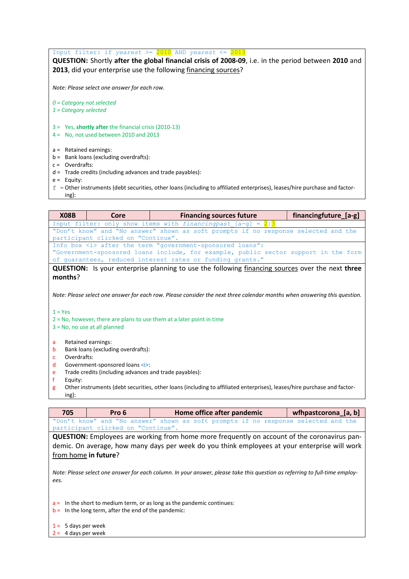Input filter: if *yearest* >= 2010 AND *yearest* <= 2013

**QUESTION:** Shortly **after the global financial crisis of 2008-09**, i.e. in the period between **2010** and 2013, did your enterprise use the following financing sources?

*Note: Please select one answer for each row.*

*0 = Category not selected*

- *1 = Category selected*
- 3 = Yes, **shortly after** the financial crisis (2010-13)
- 4 = No, not used between 2010 and 2013
- a = Retained earnings:
- b = Bank loans (excluding overdrafts):
- c = Overdrafts:
- d = Trade credits (including advances and trade payables):
- $e =$  Equity:
- $f =$  Other instruments (debt securities, other loans (including to affiliated enterprises), leases/hire purchase and factoring):

| <b>X08B</b>                                                     | Core                                                   | <b>Financing sources future</b>                                                                                           | financingfuture [a-g] |  |  |  |  |
|-----------------------------------------------------------------|--------------------------------------------------------|---------------------------------------------------------------------------------------------------------------------------|-----------------------|--|--|--|--|
| Input filter: only show items with financing past $[a-g] = 2 3$ |                                                        |                                                                                                                           |                       |  |  |  |  |
|                                                                 |                                                        | "Don't know" and "No answer" shown as soft prompts if no response selected and the                                        |                       |  |  |  |  |
|                                                                 | participant clicked on "Continue".                     |                                                                                                                           |                       |  |  |  |  |
|                                                                 |                                                        | Info box <i> after the term "government-sponsored loans":</i>                                                             |                       |  |  |  |  |
|                                                                 |                                                        | "Government-sponsored loans include, for example, public sector support in the form                                       |                       |  |  |  |  |
|                                                                 |                                                        | of guarantees, reduced interest rates or funding grants."                                                                 |                       |  |  |  |  |
|                                                                 |                                                        | <b>QUESTION:</b> Is your enterprise planning to use the following <i>financing sources</i> over the next three            |                       |  |  |  |  |
| months?                                                         |                                                        |                                                                                                                           |                       |  |  |  |  |
|                                                                 |                                                        |                                                                                                                           |                       |  |  |  |  |
|                                                                 |                                                        | Note: Please select one answer for each row. Please consider the next three calendar months when answering this question. |                       |  |  |  |  |
| $1 = Yes$                                                       |                                                        |                                                                                                                           |                       |  |  |  |  |
|                                                                 |                                                        | 2 = No, however, there are plans to use them at a later point in time                                                     |                       |  |  |  |  |
|                                                                 | $3 = No$ , no use at all planned                       |                                                                                                                           |                       |  |  |  |  |
|                                                                 |                                                        |                                                                                                                           |                       |  |  |  |  |
| a                                                               | Retained earnings:                                     |                                                                                                                           |                       |  |  |  |  |
| b                                                               | Bank loans (excluding overdrafts):                     |                                                                                                                           |                       |  |  |  |  |
| c                                                               | Overdrafts:                                            |                                                                                                                           |                       |  |  |  |  |
| Government-sponsored loans <i>:<br/>d</i>                       |                                                        |                                                                                                                           |                       |  |  |  |  |
| e                                                               | Trade credits (including advances and trade payables): |                                                                                                                           |                       |  |  |  |  |
| f<br>Equity:                                                    |                                                        |                                                                                                                           |                       |  |  |  |  |
| g<br>ing):                                                      |                                                        | Other instruments (debt securities, other loans (including to affiliated enterprises), leases/hire purchase and factor-   |                       |  |  |  |  |

**705 Pro 6 Home office after pandemic wfhpastcorona\_[a, b]** "Don't know" and "No answer" shown as soft prompts if no response selected and the participant clicked on "Continue". **QUESTION:** Employees are working from home more frequently on account of the coronavirus pandemic. On average, how many days per week do you think employees at your enterprise will work from home **in future**? *Note: Please select one answer for each column. In your answer, please take this question as referring to full-time employees.*  $a =$  In the short to medium term, or as long as the pandemic continues:

- $b =$  In the long term, after the end of the pandemic:
- $1 = 5$  days per week
- $2 = 4$  days per week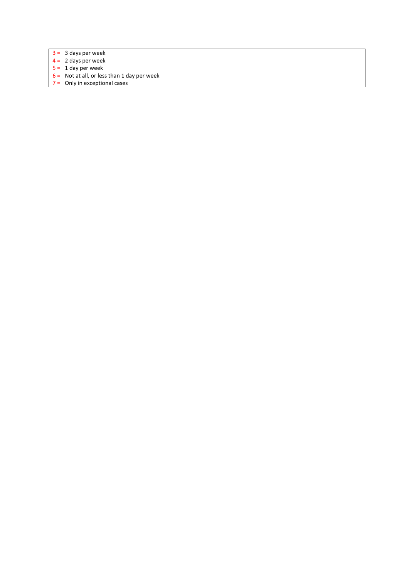- $3 = 3$  days per week
- $4 = 2$  days per week
- $5 = 1$  day per week
- $6 =$  Not at all, or less than 1 day per week
- 7 = Only in exceptional cases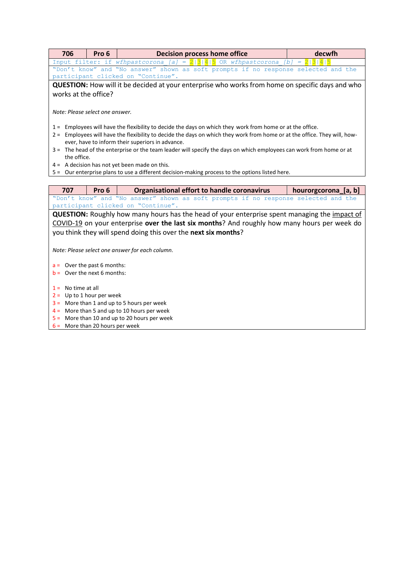| 706                                                            | Pro 6                                                                              | <b>Decision process home office</b>                                                                                       | decwfh               |  |  |  |  |
|----------------------------------------------------------------|------------------------------------------------------------------------------------|---------------------------------------------------------------------------------------------------------------------------|----------------------|--|--|--|--|
|                                                                |                                                                                    | Input filter: if wfhpastcorona [a] = $2 3 4 5$ OR wfhpastcorona [b] = $2 3 4 5$                                           |                      |  |  |  |  |
|                                                                | "Don't know" and "No answer" shown as soft prompts if no response selected and the |                                                                                                                           |                      |  |  |  |  |
|                                                                |                                                                                    | participant clicked on "Continue".                                                                                        |                      |  |  |  |  |
|                                                                |                                                                                    | <b>QUESTION:</b> How will it be decided at your enterprise who works from home on specific days and who                   |                      |  |  |  |  |
| works at the office?                                           |                                                                                    |                                                                                                                           |                      |  |  |  |  |
| Note: Please select one answer.                                |                                                                                    |                                                                                                                           |                      |  |  |  |  |
|                                                                |                                                                                    | 1 = Employees will have the flexibility to decide the days on which they work from home or at the office.                 |                      |  |  |  |  |
|                                                                |                                                                                    | 2 = Employees will have the flexibility to decide the days on which they work from home or at the office. They will, how- |                      |  |  |  |  |
|                                                                |                                                                                    | ever, have to inform their superiors in advance.                                                                          |                      |  |  |  |  |
|                                                                |                                                                                    | 3 = The head of the enterprise or the team leader will specify the days on which employees can work from home or at       |                      |  |  |  |  |
| the office.                                                    |                                                                                    |                                                                                                                           |                      |  |  |  |  |
|                                                                |                                                                                    | $4 = A$ decision has not yet been made on this.                                                                           |                      |  |  |  |  |
|                                                                |                                                                                    | 5 = Our enterprise plans to use a different decision-making process to the options listed here.                           |                      |  |  |  |  |
|                                                                |                                                                                    |                                                                                                                           |                      |  |  |  |  |
|                                                                |                                                                                    |                                                                                                                           |                      |  |  |  |  |
| 707                                                            | Pro 6                                                                              | Organisational effort to handle coronavirus                                                                               | hourorgcorona [a, b] |  |  |  |  |
|                                                                |                                                                                    | "Don't know" and "No answer" shown as soft prompts if no response selected and the                                        |                      |  |  |  |  |
|                                                                |                                                                                    | participant clicked on "Continue".                                                                                        |                      |  |  |  |  |
|                                                                |                                                                                    | QUESTION: Roughly how many hours has the head of your enterprise spent managing the impact of                             |                      |  |  |  |  |
|                                                                |                                                                                    | COVID-19 on your enterprise over the last six months? And roughly how many hours per week do                              |                      |  |  |  |  |
|                                                                |                                                                                    | you think they will spend doing this over the next six months?                                                            |                      |  |  |  |  |
|                                                                |                                                                                    | Note: Please select one answer for each column.                                                                           |                      |  |  |  |  |
|                                                                |                                                                                    |                                                                                                                           |                      |  |  |  |  |
| $a =$ Over the past 6 months:<br>$b =$ Over the next 6 months: |                                                                                    |                                                                                                                           |                      |  |  |  |  |
|                                                                |                                                                                    |                                                                                                                           |                      |  |  |  |  |
| No time at all<br>$1 =$                                        |                                                                                    |                                                                                                                           |                      |  |  |  |  |
| $2 =$ Up to 1 hour per week                                    |                                                                                    |                                                                                                                           |                      |  |  |  |  |
|                                                                |                                                                                    | $3 =$ More than 1 and up to 5 hours per week<br>$4 =$ More than 5 and up to 10 hours per week                             |                      |  |  |  |  |

 $6 =$  More than 20 hours per week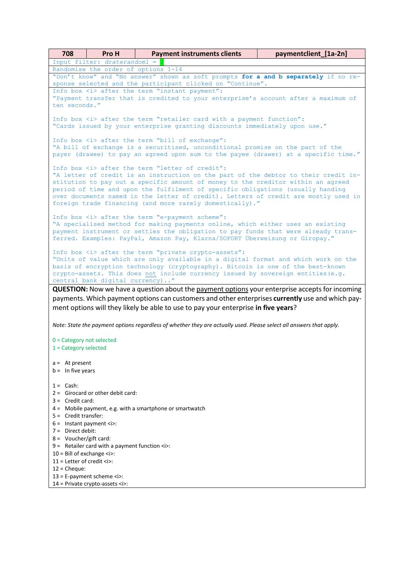| 708                                                    | Pro H                                                             | <b>Payment instruments clients</b>                                                                                                                                                                                                                                                                                                                                                                                                                                        | paymentclient [1a-2n] |
|--------------------------------------------------------|-------------------------------------------------------------------|---------------------------------------------------------------------------------------------------------------------------------------------------------------------------------------------------------------------------------------------------------------------------------------------------------------------------------------------------------------------------------------------------------------------------------------------------------------------------|-----------------------|
|                                                        | Input filter: draterandom1 =                                      |                                                                                                                                                                                                                                                                                                                                                                                                                                                                           |                       |
|                                                        | Randomise the order of options 1-14                               |                                                                                                                                                                                                                                                                                                                                                                                                                                                                           |                       |
|                                                        |                                                                   | "Don't know" and "No answer" shown as soft prompts for a and b separately if no re-<br>sponse selected and the participant clicked on "Continue".                                                                                                                                                                                                                                                                                                                         |                       |
|                                                        |                                                                   | Info box <i> after the term "instant payment":</i>                                                                                                                                                                                                                                                                                                                                                                                                                        |                       |
|                                                        |                                                                   | "Payment transfer that is credited to your enterprise's account after a maximum of                                                                                                                                                                                                                                                                                                                                                                                        |                       |
| ten seconds."                                          |                                                                   |                                                                                                                                                                                                                                                                                                                                                                                                                                                                           |                       |
|                                                        |                                                                   | Info box <i> after the term "retailer card with a payment function":<br/>"Cards issued by your enterprise granting discounts immediately upon use."</i>                                                                                                                                                                                                                                                                                                                   |                       |
|                                                        |                                                                   | Info box <i> after the term "bill of exchange":<br/>"A bill of exchange is a securitised, unconditional promise on the part of the<br/>payer (drawee) to pay an agreed upon sum to the payee (drawer) at a specific time."</i>                                                                                                                                                                                                                                            |                       |
|                                                        |                                                                   | Info box <i> after the term "letter of credit":<br/>"A letter of credit is an instruction on the part of the debtor to their credit in-<br/>stitution to pay out a specific amount of money to the creditor within an agreed<br/>period of time and upon the fulfilment of specific obligations (usually handing<br/>over documents named in the letter of credit). Letters of credit are mostly used in<br/>foreign trade financing (and more rarely domestically)."</i> |                       |
|                                                        |                                                                   | Info box <i> after the term "e-payment scheme":<br/>"A specialised method for making payments online, which either uses an existing<br/>payment instrument or settles the obligation to pay funds that were already trans-<br/>ferred. Examples: PayPal, Amazon Pay, Klarna/SOFORT Überweisung or Giropay."</i>                                                                                                                                                           |                       |
|                                                        | central bank digital currency)"                                   | Info box <i> after the term "private crypto-assets":<br/>"Units of value which are only available in a digital format and which work on the<br/>basis of encryption technology (cryptography). Bitcoin is one of the best-known<br/>crypto-assets. This does not include currency issued by sovereign entities (e.g.</i>                                                                                                                                                  |                       |
|                                                        |                                                                   | <b>QUESTION:</b> Now we have a question about the payment options your enterprise accepts for incoming                                                                                                                                                                                                                                                                                                                                                                    |                       |
|                                                        |                                                                   | payments. Which payment options can customers and other enterprises currently use and which pay-<br>ment options will they likely be able to use to pay your enterprise in five years?                                                                                                                                                                                                                                                                                    |                       |
|                                                        |                                                                   |                                                                                                                                                                                                                                                                                                                                                                                                                                                                           |                       |
|                                                        |                                                                   | Note: State the payment options regardless of whether they are actually used. Please select all answers that apply.                                                                                                                                                                                                                                                                                                                                                       |                       |
| $0 =$ Category not selected<br>$1 =$ Category selected |                                                                   |                                                                                                                                                                                                                                                                                                                                                                                                                                                                           |                       |
|                                                        |                                                                   |                                                                                                                                                                                                                                                                                                                                                                                                                                                                           |                       |
| $a = At present$                                       |                                                                   |                                                                                                                                                                                                                                                                                                                                                                                                                                                                           |                       |
| $b =$ In five years                                    |                                                                   |                                                                                                                                                                                                                                                                                                                                                                                                                                                                           |                       |
|                                                        |                                                                   |                                                                                                                                                                                                                                                                                                                                                                                                                                                                           |                       |
| $1 =$ Cash:                                            | $2 =$ Girocard or other debit card:                               |                                                                                                                                                                                                                                                                                                                                                                                                                                                                           |                       |
| $3 =$ Credit card:                                     |                                                                   |                                                                                                                                                                                                                                                                                                                                                                                                                                                                           |                       |
|                                                        |                                                                   | 4 = Mobile payment, e.g. with a smartphone or smartwatch                                                                                                                                                                                                                                                                                                                                                                                                                  |                       |
| $5 =$ Credit transfer:                                 |                                                                   |                                                                                                                                                                                                                                                                                                                                                                                                                                                                           |                       |
| $6 =$ Instant payment $\langle i \rangle$ :            |                                                                   |                                                                                                                                                                                                                                                                                                                                                                                                                                                                           |                       |
| $7 =$ Direct debit:                                    |                                                                   |                                                                                                                                                                                                                                                                                                                                                                                                                                                                           |                       |
| $8 = \text{Voucher/gift card:}$                        |                                                                   |                                                                                                                                                                                                                                                                                                                                                                                                                                                                           |                       |
|                                                        | $9 =$ Retailer card with a payment function $\langle i \rangle$ : |                                                                                                                                                                                                                                                                                                                                                                                                                                                                           |                       |
| $10 =$ Bill of exchange $\langle i \rangle$ :          |                                                                   |                                                                                                                                                                                                                                                                                                                                                                                                                                                                           |                       |
| 11 = Letter of credit $\langle i \rangle$ :            |                                                                   |                                                                                                                                                                                                                                                                                                                                                                                                                                                                           |                       |
| $12$ = Cheque:                                         | $13$ = E-payment scheme $\langle i \rangle$ :                     |                                                                                                                                                                                                                                                                                                                                                                                                                                                                           |                       |
|                                                        | 14 = Private crypto-assets <i>:</i>                               |                                                                                                                                                                                                                                                                                                                                                                                                                                                                           |                       |
|                                                        |                                                                   |                                                                                                                                                                                                                                                                                                                                                                                                                                                                           |                       |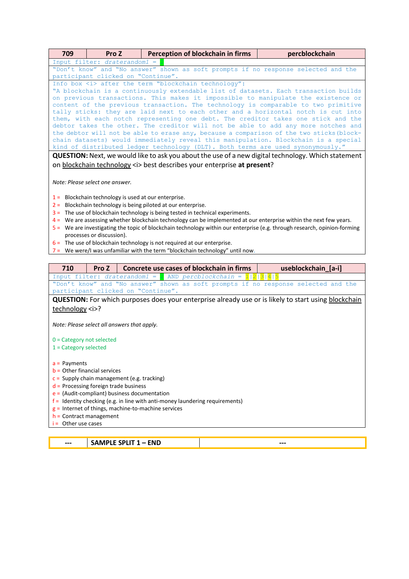| 709                                            | Pro Z                                                                                                                                             |  | Perception of blockchain in firms                                                                                                                                             | percblockchain      |  |  |  |
|------------------------------------------------|---------------------------------------------------------------------------------------------------------------------------------------------------|--|-------------------------------------------------------------------------------------------------------------------------------------------------------------------------------|---------------------|--|--|--|
| Input filter: draterandom1 =                   |                                                                                                                                                   |  |                                                                                                                                                                               |                     |  |  |  |
|                                                | "Don't know" and "No answer" shown as soft prompts if no response selected and the                                                                |  |                                                                                                                                                                               |                     |  |  |  |
|                                                |                                                                                                                                                   |  | participant clicked on "Continue".                                                                                                                                            |                     |  |  |  |
|                                                | Info box <i> after the term "blockchain technology":<br/>"A blockchain is a continuously extendable list of datasets. Each transaction builds</i> |  |                                                                                                                                                                               |                     |  |  |  |
|                                                |                                                                                                                                                   |  | on previous transactions. This makes it impossible to manipulate the existence or                                                                                             |                     |  |  |  |
|                                                |                                                                                                                                                   |  | content of the previous transaction. The technology is comparable to two primitive                                                                                            |                     |  |  |  |
|                                                |                                                                                                                                                   |  | tally sticks: they are laid next to each other and a horizontal notch is cut into                                                                                             |                     |  |  |  |
|                                                |                                                                                                                                                   |  | them, with each notch representing one debt. The creditor takes one stick and the                                                                                             |                     |  |  |  |
|                                                |                                                                                                                                                   |  | debtor takes the other. The creditor will not be able to add any more notches and<br>the debtor will not be able to erase any, because a comparison of the two sticks (block- |                     |  |  |  |
|                                                |                                                                                                                                                   |  | chain datasets) would immediately reveal this manipulation. Blockchain is a special                                                                                           |                     |  |  |  |
|                                                |                                                                                                                                                   |  | kind of distributed ledger technology (DLT). Both terms are used synonymously."                                                                                               |                     |  |  |  |
|                                                |                                                                                                                                                   |  | <b>QUESTION:</b> Next, we would like to ask you about the use of a new digital technology. Which statement                                                                    |                     |  |  |  |
|                                                |                                                                                                                                                   |  | on blockchain technology <i> best describes your enterprise at present?</i>                                                                                                   |                     |  |  |  |
|                                                |                                                                                                                                                   |  |                                                                                                                                                                               |                     |  |  |  |
|                                                |                                                                                                                                                   |  |                                                                                                                                                                               |                     |  |  |  |
| Note: Please select one answer.                |                                                                                                                                                   |  |                                                                                                                                                                               |                     |  |  |  |
|                                                |                                                                                                                                                   |  | $1 =$ Blockchain technology is used at our enterprise.                                                                                                                        |                     |  |  |  |
|                                                |                                                                                                                                                   |  | $2 =$ Blockchain technology is being piloted at our enterprise.                                                                                                               |                     |  |  |  |
|                                                |                                                                                                                                                   |  | $3 =$ The use of blockchain technology is being tested in technical experiments.                                                                                              |                     |  |  |  |
|                                                |                                                                                                                                                   |  | $4$ = We are assessing whether blockchain technology can be implemented at our enterprise within the next few years.                                                          |                     |  |  |  |
|                                                |                                                                                                                                                   |  | 5 = We are investigating the topic of blockchain technology within our enterprise (e.g. through research, opinion-forming                                                     |                     |  |  |  |
|                                                | processes or discussion).                                                                                                                         |  |                                                                                                                                                                               |                     |  |  |  |
|                                                |                                                                                                                                                   |  | $6$ = The use of blockchain technology is not required at our enterprise.                                                                                                     |                     |  |  |  |
|                                                |                                                                                                                                                   |  | $7$ = We were/I was unfamiliar with the term "blockchain technology" until now.                                                                                               |                     |  |  |  |
|                                                |                                                                                                                                                   |  |                                                                                                                                                                               |                     |  |  |  |
| 710                                            | Pro Z                                                                                                                                             |  | Concrete use cases of blockchain in firms                                                                                                                                     | useblockchain_[a-i] |  |  |  |
| Input filter: draterandom1 =                   |                                                                                                                                                   |  | AND $percblockchain = 1 2 3 4 5$<br>"Don't know" and "No answer" shown as soft prompts if no response selected and the                                                        |                     |  |  |  |
|                                                |                                                                                                                                                   |  | participant clicked on "Continue".                                                                                                                                            |                     |  |  |  |
|                                                |                                                                                                                                                   |  | <b>QUESTION:</b> For which purposes does your enterprise already use or is likely to start using blockchain                                                                   |                     |  |  |  |
| technology <i>?</i>                            |                                                                                                                                                   |  |                                                                                                                                                                               |                     |  |  |  |
|                                                |                                                                                                                                                   |  |                                                                                                                                                                               |                     |  |  |  |
| Note: Please select all answers that apply.    |                                                                                                                                                   |  |                                                                                                                                                                               |                     |  |  |  |
|                                                |                                                                                                                                                   |  |                                                                                                                                                                               |                     |  |  |  |
| $0 =$ Category not selected                    |                                                                                                                                                   |  |                                                                                                                                                                               |                     |  |  |  |
| $1 =$ Category selected                        |                                                                                                                                                   |  |                                                                                                                                                                               |                     |  |  |  |
|                                                |                                                                                                                                                   |  |                                                                                                                                                                               |                     |  |  |  |
| $a =$ Payments                                 |                                                                                                                                                   |  |                                                                                                                                                                               |                     |  |  |  |
| $b$ = Other financial services                 |                                                                                                                                                   |  |                                                                                                                                                                               |                     |  |  |  |
| $c =$ Supply chain management (e.g. tracking)  |                                                                                                                                                   |  |                                                                                                                                                                               |                     |  |  |  |
| $d$ = Processing foreign trade business        |                                                                                                                                                   |  |                                                                                                                                                                               |                     |  |  |  |
| $e =$ (Audit-compliant) business documentation |                                                                                                                                                   |  |                                                                                                                                                                               |                     |  |  |  |
|                                                |                                                                                                                                                   |  | $f$ = Identity checking (e.g. in line with anti-money laundering requirements)                                                                                                |                     |  |  |  |
|                                                |                                                                                                                                                   |  | $g$ = Internet of things, machine-to-machine services                                                                                                                         |                     |  |  |  |
| $h =$ Contract management                      |                                                                                                                                                   |  |                                                                                                                                                                               |                     |  |  |  |
|                                                |                                                                                                                                                   |  |                                                                                                                                                                               |                     |  |  |  |
| Other use cases<br>i=                          |                                                                                                                                                   |  |                                                                                                                                                                               |                     |  |  |  |

**--- SAMPLE SPLIT 1 – END ---**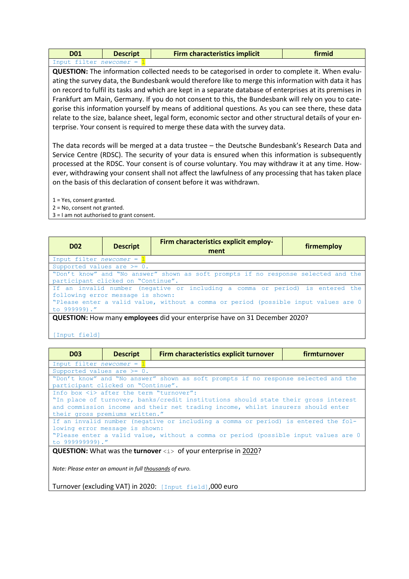| D01                     | <b>Descript</b> | <b>Firm characteristics implicit</b> | firmid |
|-------------------------|-----------------|--------------------------------------|--------|
| Input filter newcomer = |                 |                                      |        |

**QUESTION:** The information collected needs to be categorised in order to complete it. When evaluating the survey data, the Bundesbank would therefore like to merge this information with data it has on record to fulfil its tasks and which are kept in a separate database of enterprises at its premises in Frankfurt am Main, Germany. If you do not consent to this, the Bundesbank will rely on you to categorise this information yourself by means of additional questions. As you can see there, these data relate to the size, balance sheet, legal form, economic sector and other structural details of your enterprise. Your consent is required to merge these data with the survey data.

The data records will be merged at a data trustee – the Deutsche Bundesbank's Research Data and Service Centre (RDSC). The security of your data is ensured when this information is subsequently processed at the RDSC. Your consent is of course voluntary. You may withdraw it at any time. However, withdrawing your consent shall not affect the lawfulness of any processing that has taken place on the basis of this declaration of consent before it was withdrawn.

1 = Yes, consent granted.

2 = No, consent not granted.

3 = I am not authorised to grant consent.

| <b>D02</b>                                                                                                                                                                                                                | <b>Descript</b>                                                                                                          | Firm characteristics explicit employ-<br>ment                              | firmemploy |  |  |
|---------------------------------------------------------------------------------------------------------------------------------------------------------------------------------------------------------------------------|--------------------------------------------------------------------------------------------------------------------------|----------------------------------------------------------------------------|------------|--|--|
| Input filter <i>newcomer</i> = $1$                                                                                                                                                                                        |                                                                                                                          |                                                                            |            |  |  |
| Supported values are $>= 0$ .                                                                                                                                                                                             |                                                                                                                          |                                                                            |            |  |  |
|                                                                                                                                                                                                                           | "Don't know" and "No answer" shown as soft prompts if no response selected and the<br>participant clicked on "Continue". |                                                                            |            |  |  |
| If an invalid number (negative or including a comma or period) is entered the<br>following error message is shown:<br>"Please enter a valid value, without a comma or period (possible input values are 0<br>to 999999)." |                                                                                                                          |                                                                            |            |  |  |
|                                                                                                                                                                                                                           |                                                                                                                          | QUESTION: How many employees did your enterprise have on 31 December 2020? |            |  |  |

[Input field]

| <b>D03</b>                                                                                    | <b>Descript</b> | Firm characteristics explicit turnover                                             | firmturnover |
|-----------------------------------------------------------------------------------------------|-----------------|------------------------------------------------------------------------------------|--------------|
| Input filter <i>newcomer</i> = $1$                                                            |                 |                                                                                    |              |
| Supported values are $>= 0$ .                                                                 |                 |                                                                                    |              |
|                                                                                               |                 | "Don't know" and "No answer" shown as soft prompts if no response selected and the |              |
| participant clicked on "Continue".                                                            |                 |                                                                                    |              |
| Info box <i> after the term "turnover":</i>                                                   |                 |                                                                                    |              |
|                                                                                               |                 | "In place of turnover, banks/credit institutions should state their gross interest |              |
|                                                                                               |                 | and commission income and their net trading income, whilst insurers should enter   |              |
| their gross premiums written."                                                                |                 |                                                                                    |              |
|                                                                                               |                 | If an invalid number (negative or including a comma or period) is entered the fol- |              |
| lowing error message is shown:                                                                |                 |                                                                                    |              |
| "Please enter a valid value, without a comma or period (possible input values are 0           |                 |                                                                                    |              |
| to 999999999)."                                                                               |                 |                                                                                    |              |
| <b>QUESTION:</b> What was the <b>turnover</b> $\langle i \rangle$ of your enterprise in 2020? |                 |                                                                                    |              |
|                                                                                               |                 |                                                                                    |              |
|                                                                                               |                 |                                                                                    |              |

*Note: Please enter an amount in full thousands of euro.*

Turnover (excluding VAT) in 2020: [Input field],000 euro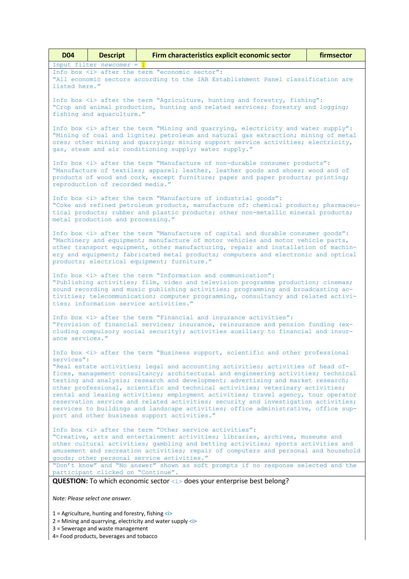| <b>D04</b>                                                                                                                                                                                                                                                                                                                                                                                                                                                                                                                                                                                                                                                      | <b>Descript</b>                                                                                                                                                                                  | Firm characteristics explicit economic sector                                                                                                                                                                                                                                                                                 | firmsector |  |  |
|-----------------------------------------------------------------------------------------------------------------------------------------------------------------------------------------------------------------------------------------------------------------------------------------------------------------------------------------------------------------------------------------------------------------------------------------------------------------------------------------------------------------------------------------------------------------------------------------------------------------------------------------------------------------|--------------------------------------------------------------------------------------------------------------------------------------------------------------------------------------------------|-------------------------------------------------------------------------------------------------------------------------------------------------------------------------------------------------------------------------------------------------------------------------------------------------------------------------------|------------|--|--|
| listed here."                                                                                                                                                                                                                                                                                                                                                                                                                                                                                                                                                                                                                                                   | Input filter <i>newcomer</i> = $1$                                                                                                                                                               | Info box <i> after the term "economic sector":<br/>"All economic sectors according to the IAB Establishment Panel classification are</i>                                                                                                                                                                                      |            |  |  |
|                                                                                                                                                                                                                                                                                                                                                                                                                                                                                                                                                                                                                                                                 | Info box <i> after the term "Agriculture, hunting and forestry, fishing":<br/>"Crop and animal production, hunting and related services; forestry and logging;<br/>fishing and aquaculture."</i> |                                                                                                                                                                                                                                                                                                                               |            |  |  |
|                                                                                                                                                                                                                                                                                                                                                                                                                                                                                                                                                                                                                                                                 |                                                                                                                                                                                                  | Info box <i> after the term "Mining and quarrying, electricity and water supply":<br/>"Mining of coal and lignite; petroleum and natural gas extraction; mining of metal<br/>ores; other mining and quarrying; mining support service activities; electricity,<br/>gas, steam and air conditioning supply; water supply."</i> |            |  |  |
|                                                                                                                                                                                                                                                                                                                                                                                                                                                                                                                                                                                                                                                                 | reproduction of recorded media."                                                                                                                                                                 | Info box <i> after the term "Manufacture of non-durable consumer products":<br/>"Manufacture of textiles; apparel; leather, leather goods and shoes; wood and of<br/>products of wood and cork, except furniture; paper and paper products; printing;</i>                                                                     |            |  |  |
|                                                                                                                                                                                                                                                                                                                                                                                                                                                                                                                                                                                                                                                                 | metal production and processing."                                                                                                                                                                | Info box <i> after the term "Manufacture of industrial goods":<br/>"Coke and refined petroleum products, manufacture of: chemical products; pharmaceu-<br/>tical products; rubber and plastic products; other non-metallic mineral products;</i>                                                                              |            |  |  |
| Info box <i> after the term "Manufacture of capital and durable consumer goods":<br/>"Machinery and equipment; manufacture of motor vehicles and motor vehicle parts,<br/>other transport equipment, other manufacturing, repair and installation of machin-<br/>ery and equipment; fabricated metal products; computers and electronic and optical<br/>products; electrical equipment; furniture."</i>                                                                                                                                                                                                                                                         |                                                                                                                                                                                                  |                                                                                                                                                                                                                                                                                                                               |            |  |  |
| Info box <i> after the term "Information and communication":<br/>"Publishing activities; film, video and television programme production; cinemas;<br/>sound recording and music publishing activities; programming and broadcasting ac-<br/>tivities; telecommunication; computer programming, consultancy and related activi-<br/>ties; information service activities."</i>                                                                                                                                                                                                                                                                                  |                                                                                                                                                                                                  |                                                                                                                                                                                                                                                                                                                               |            |  |  |
| Info box <i> after the term "Financial and insurance activities":<br/>"Provision of financial services; insurance, reinsurance and pension funding (ex-<br/>cluding compulsory social security); activities auxiliary to financial and insur-<br/>ance services."</i>                                                                                                                                                                                                                                                                                                                                                                                           |                                                                                                                                                                                                  |                                                                                                                                                                                                                                                                                                                               |            |  |  |
| services":                                                                                                                                                                                                                                                                                                                                                                                                                                                                                                                                                                                                                                                      |                                                                                                                                                                                                  | Info box <i> after the term "Business support, scientific and other professional</i>                                                                                                                                                                                                                                          |            |  |  |
| "Real estate activities; legal and accounting activities; activities of head of-<br>fices, management consultancy; architectural and engineering activities; technical<br>testing and analysis; research and development; advertising and market research;<br>other professional, scientific and technical activities; veterinary activities;<br>rental and leasing activities; employment activities; travel agency, tour operator<br>reservation service and related activities; security and investigation activities;<br>services to buildings and landscape activities; office administrative, office sup-<br>port and other business support activities." |                                                                                                                                                                                                  |                                                                                                                                                                                                                                                                                                                               |            |  |  |
| Info box <i> after the term "Other service activities":<br/>"Creative, arts and entertainment activities; libraries, archives, museums and<br/>other cultural activities; gambling and betting activities; sports activities and<br/>amusement and recreation activities; repair of computers and personal and household<br/>goods; other personal service activities."<br/>"Don't know" and "No answer" shown as soft prompts if no response selected and the</i>                                                                                                                                                                                              |                                                                                                                                                                                                  |                                                                                                                                                                                                                                                                                                                               |            |  |  |
| participant clicked on "Continue".                                                                                                                                                                                                                                                                                                                                                                                                                                                                                                                                                                                                                              |                                                                                                                                                                                                  |                                                                                                                                                                                                                                                                                                                               |            |  |  |
|                                                                                                                                                                                                                                                                                                                                                                                                                                                                                                                                                                                                                                                                 |                                                                                                                                                                                                  | QUESTION: To which economic sector <i> does your enterprise best belong?</i>                                                                                                                                                                                                                                                  |            |  |  |
|                                                                                                                                                                                                                                                                                                                                                                                                                                                                                                                                                                                                                                                                 | Note: Please select one answer.                                                                                                                                                                  |                                                                                                                                                                                                                                                                                                                               |            |  |  |
|                                                                                                                                                                                                                                                                                                                                                                                                                                                                                                                                                                                                                                                                 | 1 = Agriculture, hunting and forestry, fishing $\langle i \rangle$                                                                                                                               |                                                                                                                                                                                                                                                                                                                               |            |  |  |

- 2 = Mining and quarrying, electricity and water supply <i>
- 3 = Sewerage and waste management

4= Food products, beverages and tobacco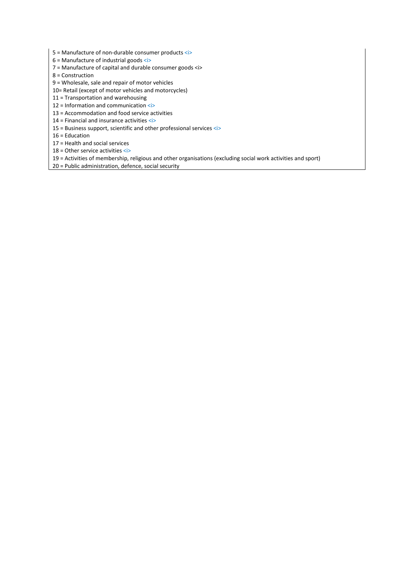5 = Manufacture of non-durable consumer products <i>

6 = Manufacture of industrial goods <i>

- 7 = Manufacture of capital and durable consumer goods <i>
- 8 = Construction
- 9 = Wholesale, sale and repair of motor vehicles
- 10= Retail (except of motor vehicles and motorcycles)
- 11 = Transportation and warehousing
- 12 = Information and communication <i>
- 13 = Accommodation and food service activities
- 14 = Financial and insurance activities <i>
- 15 = Business support, scientific and other professional services <i>

16 = Education

- 17 = Health and social services
- 18 = Other service activities <i>
- 19 = Activities of membership, religious and other organisations (excluding social work activities and sport)
- 20 = Public administration, defence, social security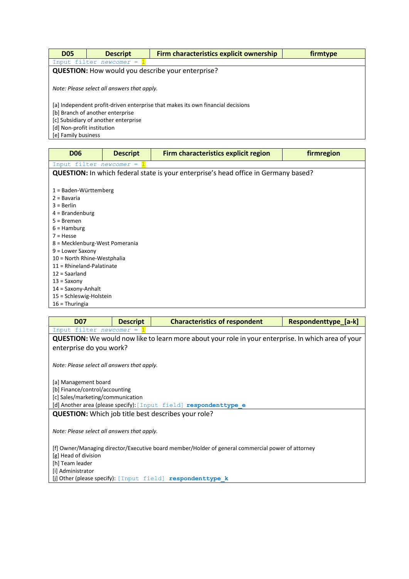| <b>D05</b>                           | <b>Descript</b>                                                                 | <b>Firm characteristics explicit ownership</b>           | firmtype |  |  |
|--------------------------------------|---------------------------------------------------------------------------------|----------------------------------------------------------|----------|--|--|
|                                      | Input filter newcomer =                                                         |                                                          |          |  |  |
|                                      |                                                                                 | <b>QUESTION:</b> How would you describe your enterprise? |          |  |  |
|                                      |                                                                                 |                                                          |          |  |  |
|                                      | Note: Please select all answers that apply.                                     |                                                          |          |  |  |
|                                      |                                                                                 |                                                          |          |  |  |
|                                      | [a] Independent profit-driven enterprise that makes its own financial decisions |                                                          |          |  |  |
| [b] Branch of another enterprise     |                                                                                 |                                                          |          |  |  |
| [c] Subsidiary of another enterprise |                                                                                 |                                                          |          |  |  |
| [d] Non-profit institution           |                                                                                 |                                                          |          |  |  |
| [e] Family business                  |                                                                                 |                                                          |          |  |  |

**D06 Descript Firm characteristics explicit region firm region** Input filter *newcomer* = **QUESTION:** In which federal state is your enterprise's head office in Germany based? 1 = Baden-Württemberg 2 = Bavaria 3 = Berlin 4 = Brandenburg 5 = Bremen 6 = Hamburg 7 = Hesse 8 = Mecklenburg-West Pomerania 9 = Lower Saxony 10 = North Rhine-Westphalia 11 = Rhineland-Palatinate 12 = Saarland 13 = Saxony 14 = Saxony-Anhalt

15 = Schleswig-Holstein

16 = Thuringia

| <b>D07</b>                                                                                        | <b>Descript</b>                             | <b>Characteristics of respondent</b>                                                                       | Respondenttype [a-k] |  |  |
|---------------------------------------------------------------------------------------------------|---------------------------------------------|------------------------------------------------------------------------------------------------------------|----------------------|--|--|
| Input filter <i>newcomer</i> = $1$                                                                |                                             |                                                                                                            |                      |  |  |
|                                                                                                   |                                             | <b>QUESTION:</b> We would now like to learn more about your role in your enterprise. In which area of your |                      |  |  |
| enterprise do you work?                                                                           |                                             |                                                                                                            |                      |  |  |
|                                                                                                   |                                             |                                                                                                            |                      |  |  |
| Note: Please select all answers that apply.                                                       |                                             |                                                                                                            |                      |  |  |
|                                                                                                   |                                             |                                                                                                            |                      |  |  |
| [a] Management board                                                                              |                                             |                                                                                                            |                      |  |  |
| [b] Finance/control/accounting                                                                    |                                             |                                                                                                            |                      |  |  |
| [c] Sales/marketing/communication                                                                 |                                             |                                                                                                            |                      |  |  |
|                                                                                                   |                                             | [d] Another area (please specify): [Input field] respondenttype e                                          |                      |  |  |
|                                                                                                   |                                             | <b>QUESTION:</b> Which job title best describes your role?                                                 |                      |  |  |
|                                                                                                   |                                             |                                                                                                            |                      |  |  |
|                                                                                                   | Note: Please select all answers that apply. |                                                                                                            |                      |  |  |
|                                                                                                   |                                             |                                                                                                            |                      |  |  |
| [f] Owner/Managing director/Executive board member/Holder of general commercial power of attorney |                                             |                                                                                                            |                      |  |  |
| [g] Head of division                                                                              |                                             |                                                                                                            |                      |  |  |
| [h] Team leader                                                                                   |                                             |                                                                                                            |                      |  |  |
| [i] Administrator                                                                                 |                                             |                                                                                                            |                      |  |  |
| [j] Other (please specify): [Input field] respondenttype k                                        |                                             |                                                                                                            |                      |  |  |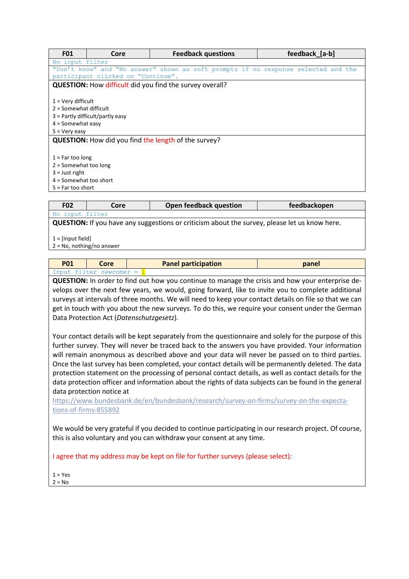| <b>F01</b>               | Core                                                                                                             | <b>Feedback questions</b>                                                          | feedback [a-b] |  |  |
|--------------------------|------------------------------------------------------------------------------------------------------------------|------------------------------------------------------------------------------------|----------------|--|--|
|                          | No input filter                                                                                                  |                                                                                    |                |  |  |
|                          |                                                                                                                  | "Don't know" and "No answer" shown as soft prompts if no response selected and the |                |  |  |
|                          | participant clicked on "Continue".                                                                               |                                                                                    |                |  |  |
|                          |                                                                                                                  | <b>QUESTION:</b> How difficult did you find the survey overall?                    |                |  |  |
|                          |                                                                                                                  |                                                                                    |                |  |  |
| $1 =$ Very difficult     |                                                                                                                  |                                                                                    |                |  |  |
| $2 =$ Somewhat difficult |                                                                                                                  |                                                                                    |                |  |  |
|                          | $3$ = Partly difficult/partly easy                                                                               |                                                                                    |                |  |  |
|                          |                                                                                                                  |                                                                                    |                |  |  |
|                          | $5 = Verv$ easy                                                                                                  |                                                                                    |                |  |  |
|                          |                                                                                                                  |                                                                                    |                |  |  |
|                          |                                                                                                                  |                                                                                    |                |  |  |
|                          |                                                                                                                  |                                                                                    |                |  |  |
| $2 =$ Somewhat too long  |                                                                                                                  |                                                                                    |                |  |  |
| $3 =$ Just right         |                                                                                                                  |                                                                                    |                |  |  |
| $4 =$ Somewhat too short |                                                                                                                  |                                                                                    |                |  |  |
|                          | $5 = Far \text{ too short}$                                                                                      |                                                                                    |                |  |  |
|                          | $4 =$ Somewhat easy<br><b>QUESTION:</b> How did you find the length of the survey?<br>$1 = Far \text{ too long}$ |                                                                                    |                |  |  |

| <b>F02</b>                                                                                           | Core | Open feedback question | feedbackopen |  |
|------------------------------------------------------------------------------------------------------|------|------------------------|--------------|--|
| No input filter                                                                                      |      |                        |              |  |
| <b>QUESTION:</b> If you have any suggestions or criticism about the survey, please let us know here. |      |                        |              |  |
| 1 = [Input field]                                                                                    |      |                        |              |  |

2 = No, nothing/no answer

| <b>P01</b> | Core                | <b>Panel participation</b> | panel |
|------------|---------------------|----------------------------|-------|
| input +    | tilter newcomer = . |                            |       |

**QUESTION:** In order to find out how you continue to manage the crisis and how your enterprise develops over the next few years, we would, going forward, like to invite you to complete additional surveys at intervals of three months. We will need to keep your contact details on file so that we can get in touch with you about the new surveys. To do this, we require your consent under the German Data Protection Act (*Datenschutzgesetz*).

Your contact details will be kept separately from the questionnaire and solely for the purpose of this further survey. They will never be traced back to the answers you have provided. Your information will remain anonymous as described above and your data will never be passed on to third parties. Once the last survey has been completed, your contact details will be permanently deleted. The data protection statement on the processing of personal contact details, as well as contact details for the data protection officer and information about the rights of data subjects can be found in the general data protection notice at

[https://www.bundesbank.de/en/bundesbank/research/survey-on-firms/survey-on-the-expecta](https://www.bundesbank.de/en/bundesbank/research/survey-on-firms/survey-on-the-expectations-of-firms-855892)[tions-of-firms-855892](https://www.bundesbank.de/en/bundesbank/research/survey-on-firms/survey-on-the-expectations-of-firms-855892)

We would be very grateful if you decided to continue participating in our research project. Of course, this is also voluntary and you can withdraw your consent at any time.

I agree that my address may be kept on file for further surveys (please select):

 $1 = Yes$ 

 $2 = No$